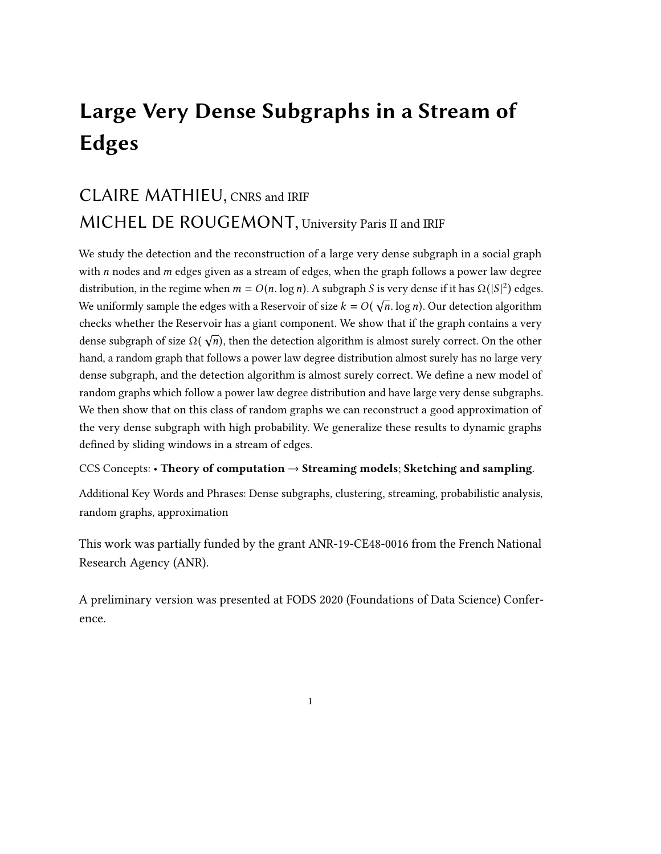# Large Very Dense Subgraphs in a Stream of Edges

# CLAIRE MATHIEU, CNRS and IRIF MICHEL DE ROUGEMONT, University Paris II and IRIF

<span id="page-0-0"></span>We study the detection and the reconstruction of a large very dense subgraph in a social graph with  $n$  nodes and  $m$  edges given as a stream of edges, when the graph follows a power law degree distribution, in the regime when  $m = O(n \cdot \log n)$ . A subgraph S is very dense if it has  $\Omega(|S|^2)$  edges. We uniformly sample the edges with a Reservoir of size  $k = O(\sqrt{n} \cdot \log n)$ . Our detection algorithm checks whether the Reservoir has a giant component. We show that if the graph contains a very dense subgraph of size  $\Omega(\sqrt{n})$ , then the detection algorithm is almost surely correct. On the other hand, a random graph that follows a power law degree distribution almost surely has no large very dense subgraph, and the detection algorithm is almost surely correct. We define a new model of random graphs which follow a power law degree distribution and have large very dense subgraphs. We then show that on this class of random graphs we can reconstruct a good approximation of the very dense subgraph with high probability. We generalize these results to dynamic graphs defined by sliding windows in a stream of edges.

# CCS Concepts: • Theory of computation  $\rightarrow$  Streaming models; Sketching and sampling.

Additional Key Words and Phrases: Dense subgraphs, clustering, streaming, probabilistic analysis, random graphs, approximation

This work was partially funded by the grant ANR-19-CE48-0016 from the French National Research Agency (ANR).

A preliminary version was presented at FODS 2020 (Foundations of Data Science) Conference.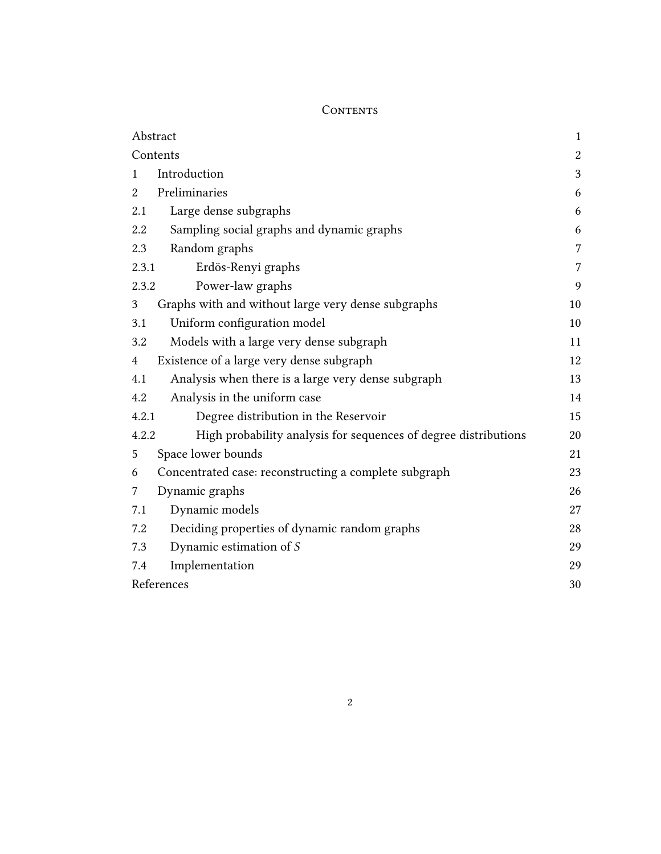# <span id="page-1-0"></span>CONTENTS

| Abstract                                                                 | $\mathbf{1}$   |
|--------------------------------------------------------------------------|----------------|
| Contents                                                                 | $\overline{c}$ |
| Introduction<br>1                                                        | 3              |
| Preliminaries<br>$\overline{2}$                                          | 6              |
| Large dense subgraphs<br>2.1                                             | 6              |
| 2.2<br>Sampling social graphs and dynamic graphs                         | 6              |
| Random graphs<br>2.3                                                     | 7              |
| 2.3.1<br>Erdös-Renyi graphs                                              | 7              |
| Power-law graphs<br>2.3.2                                                | 9              |
| Graphs with and without large very dense subgraphs<br>3                  | 10             |
| Uniform configuration model<br>3.1                                       | 10             |
| Models with a large very dense subgraph<br>3.2                           | 11             |
| Existence of a large very dense subgraph<br>4                            | 12             |
| Analysis when there is a large very dense subgraph<br>4.1                | 13             |
| Analysis in the uniform case<br>4.2                                      | 14             |
| Degree distribution in the Reservoir<br>4.2.1                            | 15             |
| High probability analysis for sequences of degree distributions<br>4.2.2 | 20             |
| Space lower bounds<br>5                                                  | 21             |
| Concentrated case: reconstructing a complete subgraph<br>6               | 23             |
| Dynamic graphs<br>7                                                      | 26             |
| Dynamic models<br>7.1                                                    | 27             |
| Deciding properties of dynamic random graphs<br>7.2                      | 28             |
| Dynamic estimation of $\mathcal S$<br>7.3                                | 29             |
| Implementation<br>7.4                                                    | 29             |
| References                                                               | 30             |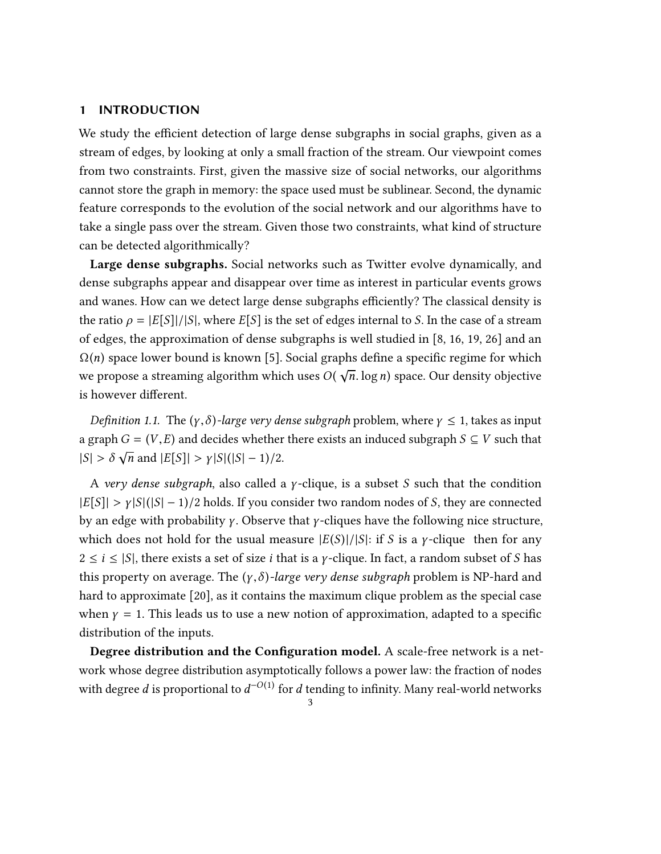#### <span id="page-2-0"></span>1 INTRODUCTION

We study the efficient detection of large dense subgraphs in social graphs, given as a stream of edges, by looking at only a small fraction of the stream. Our viewpoint comes from two constraints. First, given the massive size of social networks, our algorithms cannot store the graph in memory: the space used must be sublinear. Second, the dynamic feature corresponds to the evolution of the social network and our algorithms have to take a single pass over the stream. Given those two constraints, what kind of structure can be detected algorithmically?

Large dense subgraphs. Social networks such as Twitter evolve dynamically, and dense subgraphs appear and disappear over time as interest in particular events grows and wanes. How can we detect large dense subgraphs efficiently? The classical density is the ratio  $\rho = |E[S]|/|S|$ , where  $E[S]$  is the set of edges internal to S. In the case of a stream of edges, the approximation of dense subgraphs is well studied in [\[8,](#page-30-0) [16,](#page-30-1) [19,](#page-30-2) [26\]](#page-31-0) and an  $\Omega(n)$  space lower bound is known [\[5\]](#page-29-2). Social graphs define a specific regime for which we propose a streaming algorithm which uses  $O(\sqrt{n} \cdot \log n)$  space. Our density objective is however different.

<span id="page-2-1"></span>Definition 1.1. The  $(\gamma, \delta)$ -large very dense subgraph problem, where  $\gamma \leq 1$ , takes as input a graph  $G = (V, E)$  and decides whether there exists an induced subgraph  $S \subseteq V$  such that  $|S| > \delta$  $\sqrt{n}$  and  $|E[S]| > \gamma |S| (|S| - 1)/2$ .

A very dense subgraph, also called a *γ*-clique, is a subset S such that the condition  $|E[S]| > \gamma |S| (|S| - 1)/2$  holds. If you consider two random nodes of S, they are connected by an edge with probability  $\gamma$ . Observe that  $\gamma$ -cliques have the following nice structure, which does not hold for the usual measure  $|E(S)|/|S|$ : if S is a y-clique then for any  $2 \le i \le |S|$ , there exists a set of size *i* that is a *γ*-clique. In fact, a random subset of *S* has this property on average. The  $(y, \delta)$ -large very dense subgraph problem is NP-hard and hard to approximate [\[20\]](#page-30-3), as it contains the maximum clique problem as the special case when  $\gamma = 1$ . This leads us to use a new notion of approximation, adapted to a specific distribution of the inputs.

Degree distribution and the Configuration model. A scale-free network is a network whose degree distribution asymptotically follows a power law: the fraction of nodes with degree *d* is proportional to  $d^{-O(1)}$  for *d* tending to infinity. Many real-world networks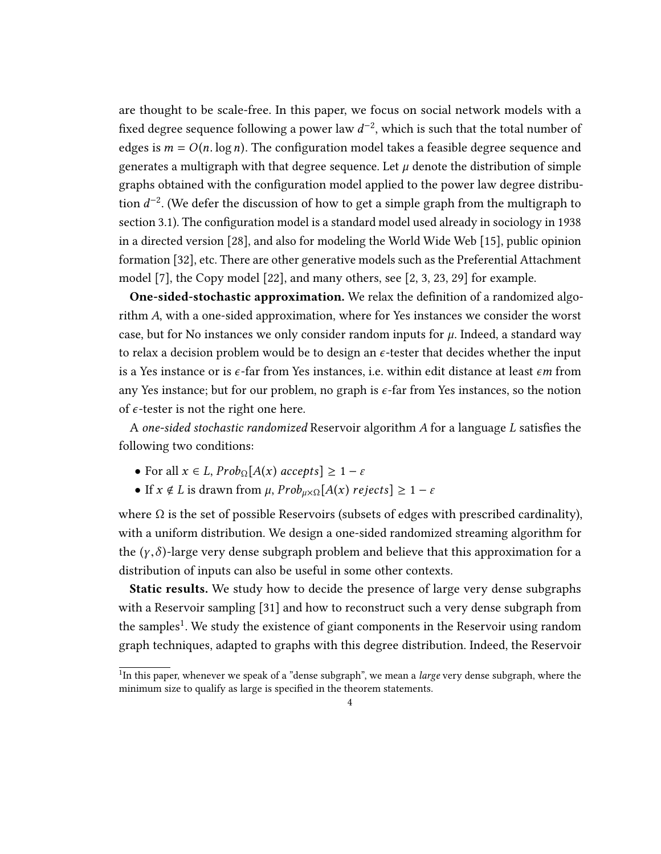are thought to be scale-free. In this paper, we focus on social network models with a fixed degree sequence following a power law  $d^{-2}$ , which is such that the total number of edges is  $m = O(n \log n)$ . The configuration model takes a feasible degree sequence and generates a multigraph with that degree sequence. Let  $\mu$  denote the distribution of simple graphs obtained with the configuration model applied to the power law degree distribution  $d^{-2}$ . (We defer the discussion of how to get a simple graph from the multigraph to section [3.1\)](#page-9-1). The configuration model is a standard model used already in sociology in 1938 in a directed version [\[28\]](#page-31-1), and also for modeling the World Wide Web [\[15\]](#page-30-4), public opinion formation [\[32\]](#page-31-2), etc. There are other generative models such as the Preferential Attachment model [\[7\]](#page-29-3), the Copy model [\[22\]](#page-30-5), and many others, see [\[2,](#page-29-4) [3,](#page-29-5) [23,](#page-31-3) [29\]](#page-31-4) for example.

One-sided-stochastic approximation. We relax the definition of a randomized algorithm A, with a one-sided approximation, where for Yes instances we consider the worst case, but for No instances we only consider random inputs for  $\mu$ . Indeed, a standard way to relax a decision problem would be to design an  $\epsilon$ -tester that decides whether the input is a Yes instance or is  $\epsilon$ -far from Yes instances, i.e. within edit distance at least  $\epsilon m$  from any Yes instance; but for our problem, no graph is  $\epsilon$ -far from Yes instances, so the notion of  $\epsilon$ -tester is not the right one here.

<sup>A</sup> one-sided stochastic randomized Reservoir algorithm A for a language L satisfies the following two conditions:

- For all  $x \in L$ ,  $Prob_{\Omega}[A(x)$  accepts $] \geq 1 \varepsilon$
- If  $x \notin L$  is drawn from  $\mu$ ,  $Prob_{\mu \times \Omega}[A(x)$  rejects]  $\geq 1 \varepsilon$

where  $\Omega$  is the set of possible Reservoirs (subsets of edges with prescribed cardinality), with a uniform distribution. We design a one-sided randomized streaming algorithm for the  $(\gamma, \delta)$ -large very dense subgraph problem and believe that this approximation for a distribution of inputs can also be useful in some other contexts.

Static results. We study how to decide the presence of large very dense subgraphs with a Reservoir sampling [\[31\]](#page-31-5) and how to reconstruct such a very dense subgraph from the samples<sup>[1](#page-3-0)</sup>. We study the existence of giant components in the Reservoir using random graph techniques, adapted to graphs with this degree distribution. Indeed, the Reservoir

<span id="page-3-0"></span> $\overline{^{1}}$ In this paper, whenever we speak of a "dense subgraph", we mean a *large* very dense subgraph, where the minimum size to qualify as large is specified in the theorem statements.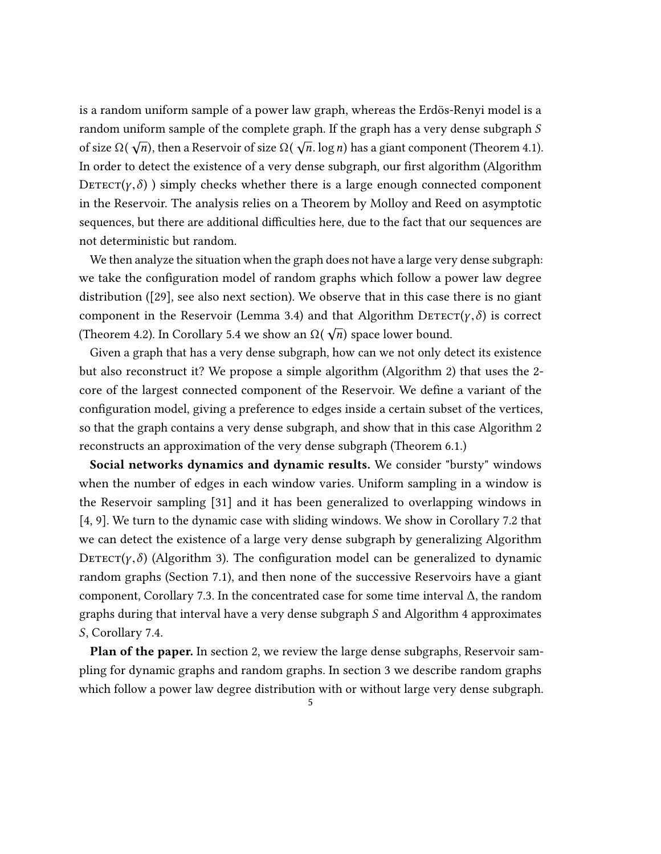is a random uniform sample of a power law graph, whereas the Erdös-Renyi model is a random uniform sample of the complete graph. If the graph has a very dense subgraph S of size  $\Omega(\sqrt{n})$ , then a Reservoir of size  $\Omega(\sqrt{n} \cdot \log n)$  has a giant component (Theorem [4.1\)](#page-12-1). In order to detect the existence of a very dense subgraph, our first algorithm (Algorithm DETECT( $\gamma$ , $\delta$ ) simply checks whether there is a large enough connected component in the Reservoir. The analysis relies on a Theorem by Molloy and Reed on asymptotic sequences, but there are additional difficulties here, due to the fact that our sequences are not deterministic but random.

We then analyze the situation when the graph does not have a large very dense subgraph: we take the configuration model of random graphs which follow a power law degree distribution ([\[29\]](#page-31-4), see also next section). We observe that in this case there is no giant component in the Reservoir (Lemma [3.4\)](#page-10-1) and that Algorithm  $\text{Defect}(\gamma,\delta)$  is correct (Theorem [4.2\)](#page-13-1). In Corollary [5.4](#page-22-1) we show an  $\Omega(\sqrt{n})$  space lower bound.

Given a graph that has a very dense subgraph, how can we not only detect its existence but also reconstruct it? We propose a simple algorithm (Algorithm 2) that uses the 2 core of the largest connected component of the Reservoir. We define a variant of the configuration model, giving a preference to edges inside a certain subset of the vertices, so that the graph contains a very dense subgraph, and show that in this case Algorithm 2 reconstructs an approximation of the very dense subgraph (Theorem [6.1.](#page-22-2))

Social networks dynamics and dynamic results. We consider "bursty" windows when the number of edges in each window varies. Uniform sampling in a window is the Reservoir sampling [\[31\]](#page-31-5) and it has been generalized to overlapping windows in [\[4,](#page-29-6) [9\]](#page-30-6). We turn to the dynamic case with sliding windows. We show in Corollary [7.2](#page-27-1) that we can detect the existence of a large very dense subgraph by generalizing Algorithm DETECT( $\gamma$ , $\delta$ ) (Algorithm 3). The configuration model can be generalized to dynamic random graphs (Section [7.1\)](#page-26-0), and then none of the successive Reservoirs have a giant component, Corollary [7.3.](#page-28-1) In the concentrated case for some time interval  $\Delta$ , the random graphs during that interval have a very dense subgraph S and Algorithm 4 approximates S, Corollary [7.4.](#page-28-2)

Plan of the paper. In section 2, we review the large dense subgraphs, Reservoir sampling for dynamic graphs and random graphs. In section 3 we describe random graphs which follow a power law degree distribution with or without large very dense subgraph.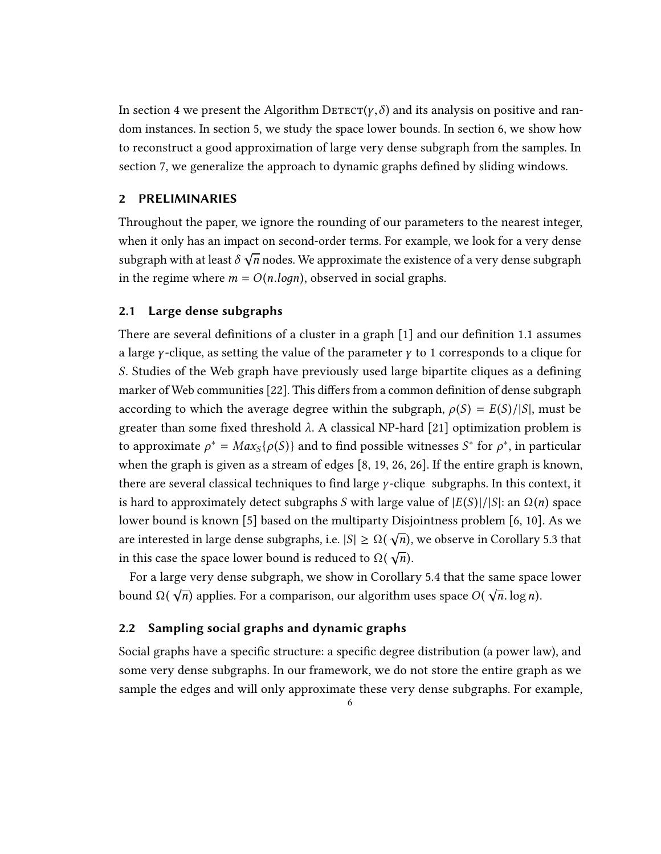In section 4 we present the Algorithm  $\text{Defect}(\gamma, \delta)$  and its analysis on positive and random instances. In section 5, we study the space lower bounds. In section 6, we show how to reconstruct a good approximation of large very dense subgraph from the samples. In section 7, we generalize the approach to dynamic graphs defined by sliding windows.

### <span id="page-5-0"></span>2 PRELIMINARIES

Throughout the paper, we ignore the rounding of our parameters to the nearest integer, when it only has an impact on second-order terms. For example, we look for a very dense subgraph with at least  $\delta \sqrt{n}$  nodes. We approximate the existence of a very dense subgraph √ in the regime where  $m = O(n.logn)$ , observed in social graphs.

#### <span id="page-5-1"></span>2.1 Large dense subgraphs

There are several definitions of a cluster in a graph [\[1\]](#page-29-7) and our definition [1.1](#page-2-1) assumes a large *γ*-clique, as setting the value of the parameter  $\gamma$  to 1 corresponds to a clique for S. Studies of the Web graph have previously used large bipartite cliques as a defining marker of Web communities [\[22\]](#page-30-5). This differs from a common definition of dense subgraph according to which the average degree within the subgraph,  $\rho(S) = E(S)/|S|$ , must be greater than some fixed threshold  $\lambda$ . A classical NP-hard [\[21\]](#page-30-7) optimization problem is to approximate  $\rho^* = Max_S\{\rho(S)\}$  and to find possible witnesses  $S^*$  for  $\rho^*$ , in particular when the graph is given as a stream of edges [\[8,](#page-30-0) [19,](#page-30-2) [26,](#page-31-0) [26\]](#page-31-0). If the entire graph is known, there are several classical techniques to find large  $\gamma$ -clique subgraphs. In this context, it is hard to approximately detect subgraphs S with large value of  $|E(S)|/|S|$ : an  $\Omega(n)$  space lower bound is known [\[5\]](#page-29-2) based on the multiparty Disjointness problem [\[6,](#page-29-8) [10\]](#page-30-8). As we are interested in large dense subgraphs, i.e.  $|S| \ge \Omega(\sqrt{n})$ , we observe in Corollary [5.3](#page-22-3) that in this case the space lower bound is reduced to  $\Omega(\sqrt{n})$ .

For a large very dense subgraph, we show in Corollary [5.4](#page-22-1) that the same space lower bound  $Ω( \sqrt{n})$  applies. For a comparison, our algorithm uses space  $O( \sqrt{n} \cdot \log n)$ .

#### <span id="page-5-2"></span>2.2 Sampling social graphs and dynamic graphs

Social graphs have a specific structure: a specific degree distribution (a power law), and some very dense subgraphs. In our framework, we do not store the entire graph as we sample the edges and will only approximate these very dense subgraphs. For example,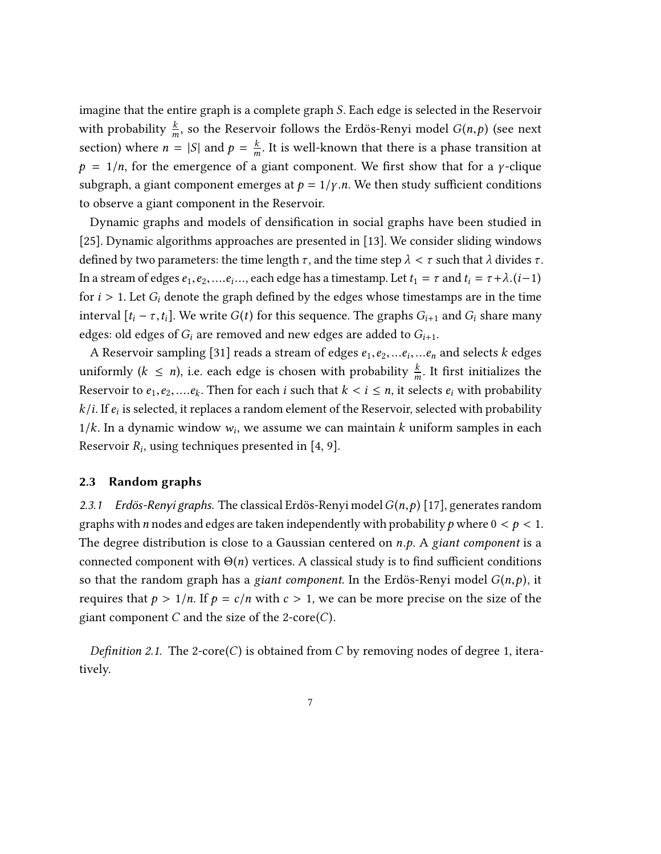imagine that the entire graph is a complete graph S. Each edge is selected in the Reservoir with probability  $\frac{k}{m}$ , so the Reservoir follows the Erdös-Renyi model  $G(n, p)$  (see next section) where  $n = |S|$  and  $p = \frac{k}{m}$ . It is well-known that there is a phase transition at  $p = 1/n$ , for the emergence of a giant component. We first show that for a *γ*-clique subgraph, a giant component emerges at  $p = 1/\gamma$ .n. We then study sufficient conditions to observe a giant component in the Reservoir.

Dynamic graphs and models of densification in social graphs have been studied in [\[25\]](#page-31-6). Dynamic algorithms approaches are presented in [\[13\]](#page-30-9). We consider sliding windows defined by two parameters: the time length  $\tau$ , and the time step  $\lambda < \tau$  such that  $\lambda$  divides  $\tau$ . In a stream of edges  $e_1, e_2, \ldots e_i, \ldots$ , each edge has a timestamp. Let  $t_1 = \tau$  and  $t_i = \tau + \lambda \cdot (i-1)$ for  $i > 1$ . Let  $G_i$  denote the graph defined by the edges whose timestamps are in the time interval  $[t_i - \tau, t_i]$ . We write  $G(t)$  for this sequence. The graphs  $G_{i+1}$  and  $G_i$  share many edges: old edges of  $G_i$  are removed and new edges are added to  $G_{i+1}$ .

A Reservoir sampling [\[31\]](#page-31-5) reads a stream of edges  $e_1, e_2, \ldots e_i, \ldots e_n$  and selects k edges uniformly  $(k \le n)$ , i.e. each edge is chosen with probability  $\frac{k}{m}$ . It first initializes the Reservoir to  $e_1, e_2, \ldots, e_k$ . Then for each *i* such that  $k < i \leq n$ , it selects  $e_i$  with probability  $k/i$ . If  $e_i$  is selected, it replaces a random element of the Reservoir, selected with probability 1/k. In a dynamic window  $w_i$ , we assume we can maintain k uniform samples in each Reservoir  $R_i$ , using techniques presented in [\[4,](#page-29-6) [9\]](#page-30-6).

#### <span id="page-6-0"></span>2.3 Random graphs

<span id="page-6-1"></span>2.3.1 Erdös-Renyi graphs. The classical Erdös-Renyi model  $G(n, p)$  [\[17\]](#page-30-10), generates random graphs with *n* nodes and edges are taken independently with probability *p* where  $0 < p < 1$ . The degree distribution is close to a Gaussian centered on  $n.p$ . A giant component is a connected component with  $\Theta(n)$  vertices. A classical study is to find sufficient conditions so that the random graph has a giant component. In the Erdös-Renyi model  $G(n, p)$ , it requires that  $p > 1/n$ . If  $p = c/n$  with  $c > 1$ , we can be more precise on the size of the giant component  $C$  and the size of the 2-core $(C)$ .

Definition 2.1. The 2-core(C) is obtained from C by removing nodes of degree 1, iteratively.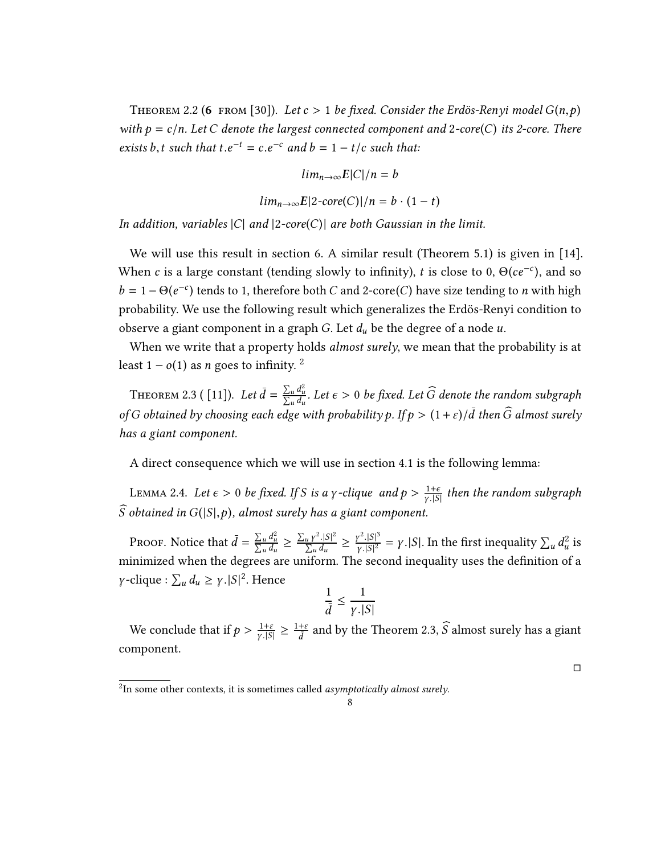<span id="page-7-3"></span>THEOREM 2.2 (6 FROM [\[30\]](#page-31-7)). Let  $c > 1$  be fixed. Consider the Erdös-Renyi model  $G(n, p)$ with  $p = c/n$ . Let C denote the largest connected component and 2-core(C) its 2-core. There exists b, t such that  $t.e^{-t} = c.e^{-c}$  and  $b = 1 - t/c$  such that:

$$
lim_{n\to\infty} E|C|/n = b
$$
  

$$
lim_{n\to\infty} E|2\text{-}core(C)|/n = b \cdot (1-t)
$$

In addition, variables  $|C|$  and  $|2\text{-core}(C)|$  are both Gaussian in the limit.

We will use this result in section [6.](#page-22-0) A similar result (Theorem 5.1) is given in [\[14\]](#page-30-11). When c is a large constant (tending slowly to infinity), t is close to 0,  $\Theta(ce^{-c})$ , and so  $b = 1 - \Theta(e^{-c})$  tends to 1, therefore both *C* and 2-core(*C*) have size tending to *n* with high probability. We use the following result which generalizes the Erdös-Renyi condition to observe a giant component in a graph G. Let  $d_u$  be the degree of a node  $u$ .

When we write that a property holds *almost surely*, we mean that the probability is at least  $1 - o(1)$  as *n* goes to infinity. <sup>[2](#page-7-0)</sup>

<span id="page-7-1"></span>THEOREM 2.3 ( [\[11\]](#page-30-12)). Let  $\bar{d} = \frac{\sum_{u} d}{\sum_{u} d}$ 2  $\frac{\sum_{u} d_u^2}{\sum_{u} d_u}$ . Let  $\epsilon > 0$  be fixed. Let  $\widehat{G}$  denote the random subgraph of G obtained by choosing each edge with probability p. If  $p > (1 + \varepsilon)/\bar{d}$  then  $\widehat{G}$  almost surely has a giant component.

A direct consequence which we will use in section [4.1](#page-12-0) is the following lemma:

<span id="page-7-2"></span>LEMMA 2.4. Let  $\epsilon > 0$  be fixed. If S is a y-clique and  $p > \frac{1+\epsilon}{\gamma \cdot |S|}$  $\overline{\gamma}$ .|S| then the random subgraph  $\widehat{S}$  obtained in  $G(|S|,p)$ , almost surely has a giant component.

PROOF. Notice that  $\bar{d} = \frac{\sum_u d}{\sum_u d}$ 2  $\frac{\sum_{u} d_u^2}{\sum_{u} d_u} \geq \frac{\sum_{u} \gamma}{\sum_{u}}$ minimized when the degrees are uniform. The second inequality uses the definition of a  $\frac{|S|^2}{d}$  $\frac{u Y \cdot |S|}{\sum_u d_u} \geq \frac{\gamma}{\gamma}$  $\frac{2}{|S|^3}$  $\frac{\gamma^2 \cdot |S|^3}{\gamma |S|^2} = \gamma$ . [S]. In the first inequality  $\sum_u d$  $\frac{2}{\pi}$  is γ-clique :  $\sum_u d_u \ge \gamma$ .|S|<sup>2</sup>. Hence

$$
\frac{1}{\bar{d}} \le \frac{1}{\gamma \cdot |S|}
$$

We conclude that if  $p > \frac{1+\varepsilon}{\gamma \sqrt{S}}$  $\frac{1+\varepsilon}{\gamma.|S|} \geq \frac{1+\varepsilon}{\bar{d}}$ and by the Theorem [2.3,](#page-7-1)  $\widehat{S}$  almost surely has a giant component.

□

<span id="page-7-0"></span> $\overline{P_{2}}$ In some other contexts, it is sometimes called *asymptotically almost surely*.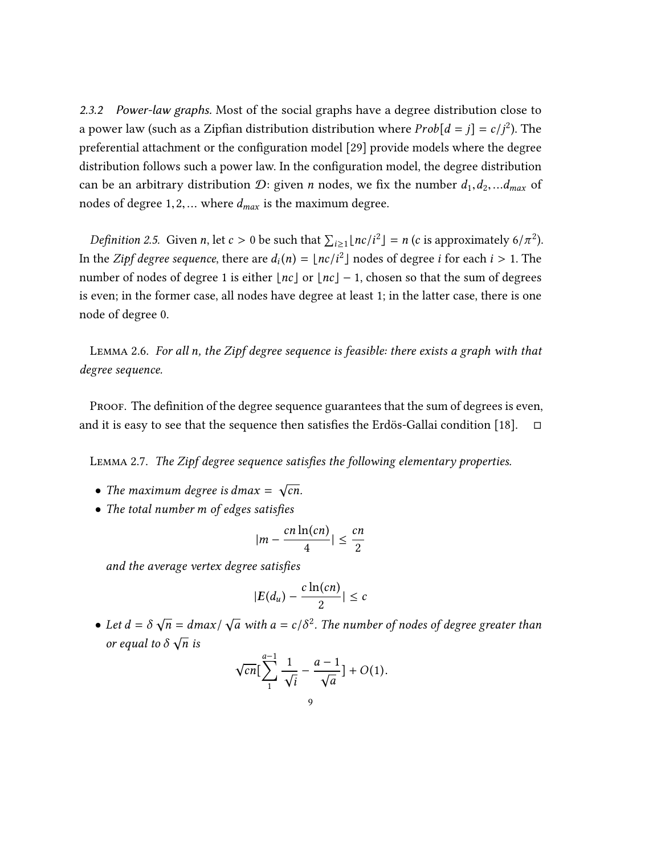<span id="page-8-0"></span>2.3.2 Power-law graphs. Most of the social graphs have a degree distribution close to a power law (such as a Zipfian distribution distribution where  $Prob[d = j] = c/j^2$ ). The preferential attachment or the configuration model [\[29\]](#page-31-4) provide models where the degree distribution follows such a power law. In the configuration model, the degree distribution can be an arbitrary distribution  $\mathcal{D}$ : given *n* nodes, we fix the number  $d_1, d_2, \ldots d_{max}$  of nodes of degree  $1, 2, \ldots$  where  $d_{max}$  is the maximum degree.

<span id="page-8-2"></span>*Definition 2.5.* Given *n*, let  $c > 0$  be such that  $\sum_{i \ge 1} \lfloor nc/i^2 \rfloor = n$  (*c* is approximately  $6/\pi^2$ ). In the *Zipf degree sequence*, there are  $d_i(n) = \lfloor nc/i^2 \rfloor$  nodes of degree *i* for each  $i > 1$ . The number of nodes of degree 1 is either  $\lfloor nc \rfloor$  or  $\lfloor nc \rfloor - 1$ , chosen so that the sum of degrees is even; in the former case, all nodes have degree at least 1; in the latter case, there is one node of degree 0.

Lemma 2.6. For all n, the Zipf degree sequence is feasible: there exists a graph with that degree sequence.

PROOF. The definition of the degree sequence guarantees that the sum of degrees is even, and it is easy to see that the sequence then satisfies the Erdös-Gallai condition [\[18\]](#page-30-13).  $\square$ 

<span id="page-8-1"></span>Lemma 2.7. The Zipf degree sequence satisfies the following elementary properties.

- The maximum degree is dmax =  $\sqrt{cn}$ .
- The total number m of edges satisfies

$$
|m - \frac{cn\ln(cn)}{4}| \leq \frac{cn}{2}
$$

and the average vertex degree satisfies

$$
|E(d_u) - \frac{c\ln(cn)}{2}| \leq c
$$

• Let  $d = \delta \sqrt{d}$  $\overline{n} = \frac{dmax}{n}$  $\sqrt{a}$  with  $a = c/\delta^2$ . The number of nodes of degree greater than  $\int$  or equal to  $\delta \sqrt{n}$  is

$$
\sqrt{cn} \Big[ \sum_{1}^{a-1} \frac{1}{\sqrt{i}} - \frac{a-1}{\sqrt{a}} \Big] + O(1).
$$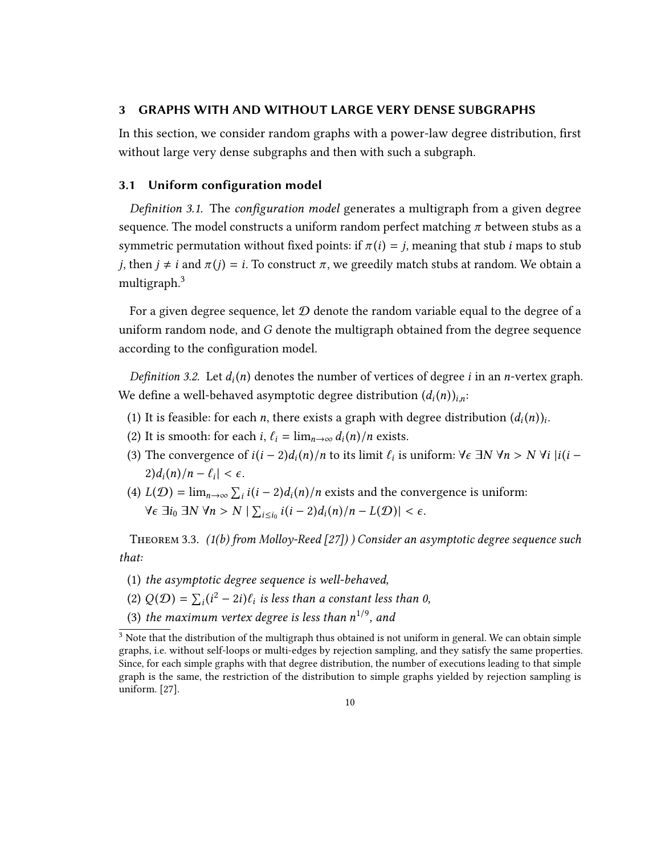#### <span id="page-9-0"></span>3 GRAPHS WITH AND WITHOUT LARGE VERY DENSE SUBGRAPHS

In this section, we consider random graphs with a power-law degree distribution, first without large very dense subgraphs and then with such a subgraph.

#### <span id="page-9-1"></span>3.1 Uniform configuration model

<span id="page-9-4"></span>Definition 3.1. The configuration model generates a multigraph from a given degree sequence. The model constructs a uniform random perfect matching  $\pi$  between stubs as a symmetric permutation without fixed points: if  $\pi(i) = j$ , meaning that stub *i* maps to stub j, then  $j \neq i$  and  $\pi(j) = i$ . To construct  $\pi$ , we greedily match stubs at random. We obtain a multigraph.[3](#page-9-2)

For a given degree sequence, let  $D$  denote the random variable equal to the degree of a uniform random node, and G denote the multigraph obtained from the degree sequence according to the configuration model.

Definition 3.2. Let  $d_i(n)$  denotes the number of vertices of degree *i* in an *n*-vertex graph. We define a well-behaved asymptotic degree distribution  $(d_i(n))_{i,n}$ :

- (1) It is feasible: for each *n*, there exists a graph with degree distribution  $(d_i(n))_i$ <br>(2) It is not all independent in  $d_i(x)$  is the set of the set of the set of the set of the set of the set of the set of the set of t .
- (2) It is smooth: for each  $i$ ,  $\ell_i = \lim_{n \to \infty} d_i(n)/n$  exists.
- (3) The convergence of  $i(i-2)d_i(n)/n$  to its limit  $\ell_i$  is uniform:  $\forall \epsilon \exists N \ \forall n > N \ \forall i \ |i(i-2) \leq k \leq N \ \forall i \ |i(i-2) \leq k \leq N \ \forall i \ |i(i-2) \leq k \leq N \ \forall i \ |i(i-2) \leq k \leq N \ \forall i \ |i(i-2) \leq k \leq N \ \forall i \ |i(i-2) \leq k \leq N \ \forall i \ |i(i-2) \leq k \leq N \ \forall i \ |i(i$  $\left| \frac{2}{d_i(n)} \right| - \ell_i < \epsilon.$
- (4)  $L(D) = \lim_{n \to \infty} \sum_i i(i-2)d_i(n)/n$  exists and the convergence is uniform:  $\forall \epsilon \exists i_0 \exists N \forall n > N \mid \sum_{i \leq i_0} i(i-2)d_i(n)/n - L(\mathcal{D}) \mid < \epsilon.$

<span id="page-9-3"></span>THEOREM 3.3.  $(1(b)$  from Molloy-Reed [\[27\]](#page-31-8)) ) Consider an asymptotic degree sequence such that:

- (1) the asymptotic degree sequence is well-behaved,
- (2)  $Q(D) = \sum_i (i^2 2i) \ell_i$  is less than a constant less than 0,
- (3) the maximum vertex degree is less than  $n^{1/9}$ , and

<span id="page-9-2"></span> $3$  Note that the distribution of the multigraph thus obtained is not uniform in general. We can obtain simple graphs, i.e. without self-loops or multi-edges by rejection sampling, and they satisfy the same properties. Since, for each simple graphs with that degree distribution, the number of executions leading to that simple graph is the same, the restriction of the distribution to simple graphs yielded by rejection sampling is uniform. [\[27\]](#page-31-8).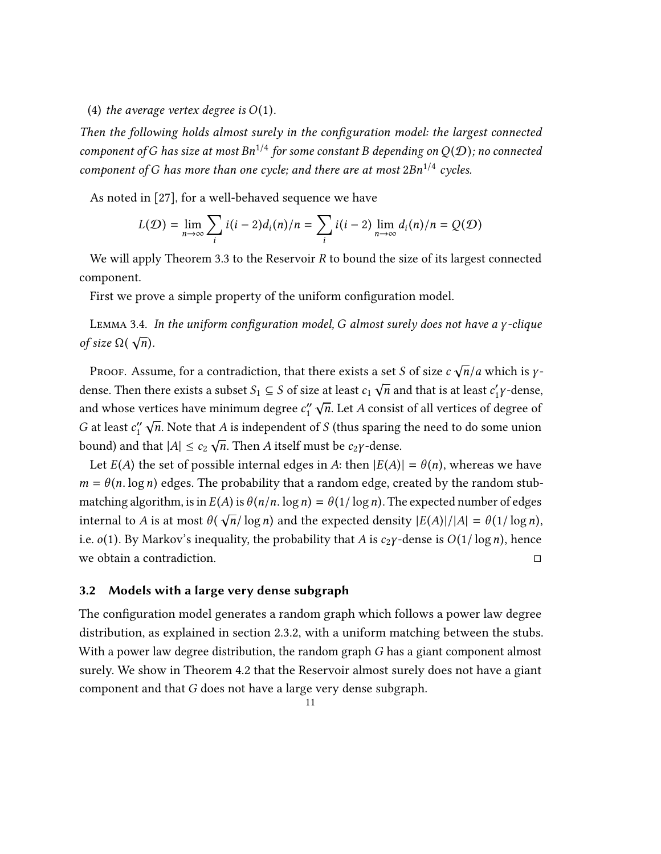#### (4) the average vertex degree is  $O(1)$ .

Then the following holds almost surely in the configuration model: the largest connected component of G has size at most  $Bn^{1/4}$  for some constant B depending on  $Q(D)$ ; no connected component of G has more than one cycle; and there are at most  $2Bn^{1/4}$  cycles.

As noted in [\[27\]](#page-31-8), for a well-behaved sequence we have

$$
L(\mathcal{D}) = \lim_{n \to \infty} \sum_{i} i(i-2)d_i(n)/n = \sum_{i} i(i-2)\lim_{n \to \infty} d_i(n)/n = Q(\mathcal{D})
$$

We will apply Theorem [3.3](#page-9-3) to the Reservoir R to bound the size of its largest connected component.

First we prove a simple property of the uniform configuration model.

<span id="page-10-1"></span>LEMMA 3.4. In the uniform configuration model, G almost surely does not have a γ-clique of size  $\Omega(\sqrt{n})$ .

PROOF. Assume, for a contradiction, that there exists a set *S* of size  $c \sqrt{n}/a$  which is  $\gamma$ dense. Then there exists a subset  $S_1 \subseteq S$  of size at least  $c_1 \sqrt{n}$  and that is at least  $c'_1 \gamma$ -dense, and whose vertices have minimum degree  $c_1''$  $\sqrt{n}$ . Let A consist of all vertices of degree of G at least  $c_1''$  $\sqrt{n}$ . Note that *A* is independent of *S* (thus sparing the need to do some union bound) and that  $|A| \leq c_2 \sqrt{n}$ . Then A itself must be  $c_2 \gamma$ -dense.

Let  $E(A)$  the set of possible internal edges in A: then  $|E(A)| = \theta(n)$ , whereas we have  $m = \theta(n \log n)$  edges. The probability that a random edge, created by the random stubmatching algorithm, is in  $E(A)$  is  $\theta(n/n. \log n) = \theta(1/\log n)$ . The expected number of edges internal to A is at most  $\theta(\sqrt{n}/\log n)$  and the expected density  $|E(A)|/|A| = \theta(1/\log n)$ , i.e. *o*(1). By Markov's inequality, the probability that *A* is *c*<sub>2</sub>*y*-dense is *O*(1/ log *n*), hence we obtain a contradiction. we obtain a contradiction.

#### <span id="page-10-0"></span>3.2 Models with a large very dense subgraph

The configuration model generates a random graph which follows a power law degree distribution, as explained in section [2.3.2,](#page-8-0) with a uniform matching between the stubs. With a power law degree distribution, the random graph G has a giant component almost surely. We show in Theorem [4.2](#page-13-1) that the Reservoir almost surely does not have a giant component and that G does not have a large very dense subgraph.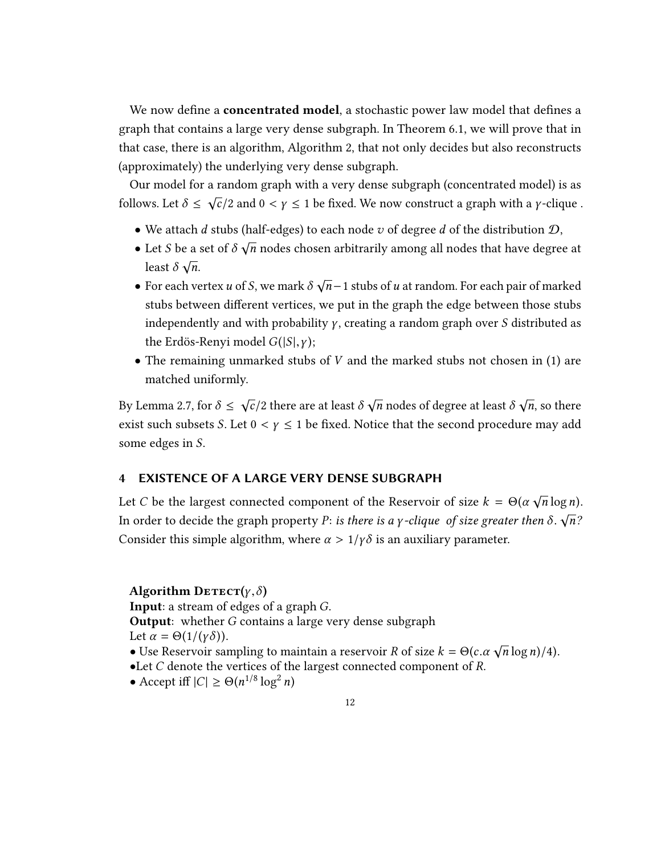We now define a **concentrated model**, a stochastic power law model that defines a graph that contains a large very dense subgraph. In Theorem [6.1,](#page-22-2) we will prove that in that case, there is an algorithm, Algorithm 2, that not only decides but also reconstructs (approximately) the underlying very dense subgraph.

Our model for a random graph with a very dense subgraph (concentrated model) is as follows. Let  $\delta \leq \sqrt{c}/2$  and  $0 < \gamma \leq 1$  be fixed. We now construct a graph with a *y*-clique.

- We attach d stubs (half-edges) to each node v of degree d of the distribution  $\mathcal{D}$ ,
- Let S be a set of  $\delta \sqrt{n}$  nodes chosen arbitrarily among all nodes that have degree at Let  $\overline{b}$  be a  $\overline{a}$  of  $\overline{b}$ .
- For each vertex u of S, we mark  $\delta \sqrt{n}-1$  stubs of u at random. For each pair of marked stubs between different vertices, we put in the graph the edge between those stubs independently and with probability  $\gamma$ , creating a random graph over S distributed as the Erdös-Renyi model  $G(|S|, \gamma)$ ;
- The remaining unmarked stubs of  $V$  and the marked stubs not chosen in (1) are matched uniformly.

By Lemma [2.7,](#page-8-1) for  $\delta \leq \sqrt{c}/2$  there are at least  $\delta \sqrt{n}$  nodes of degree at least  $\delta \sqrt{n}$ , so there exist such subsets S. Let  $0 < y \le 1$  be fixed. Notice that the second procedure may add some edges in S.

#### <span id="page-11-0"></span>4 EXISTENCE OF A LARGE VERY DENSE SUBGRAPH

Let C be the largest connected component of the Reservoir of size  $k = \Theta(\alpha \sqrt{n} \log n)$ . In order to decide the graph property P: is there is a *γ*-clique of size greater then  $\delta$ .  $\sqrt{n}$ ? Consider this simple algorithm, where  $\alpha > 1/\gamma \delta$  is an auxiliary parameter.

#### Algorithm  $\text{Derror}(y, \delta)$

Input: a stream of edges of a graph G.

**Output:** whether G contains a large very dense subgraph

Let  $\alpha = \Theta(1/(\gamma \delta)).$ 

- Let α =  $Θ(1/(γσ))$ .<br>● Use Reservoir sampling to maintain a reservoir R of size  $k = Θ(c.α \sqrt{n} \log n)/4$ ).<br>●I et C denote the vertices of the largest connected component of R
- •Let C denote the vertices of the largest connected component of R.
- Accept iff  $|C| \ge \Theta(n^{1/8} \log^2)$  $\ddot{\phantom{a}}$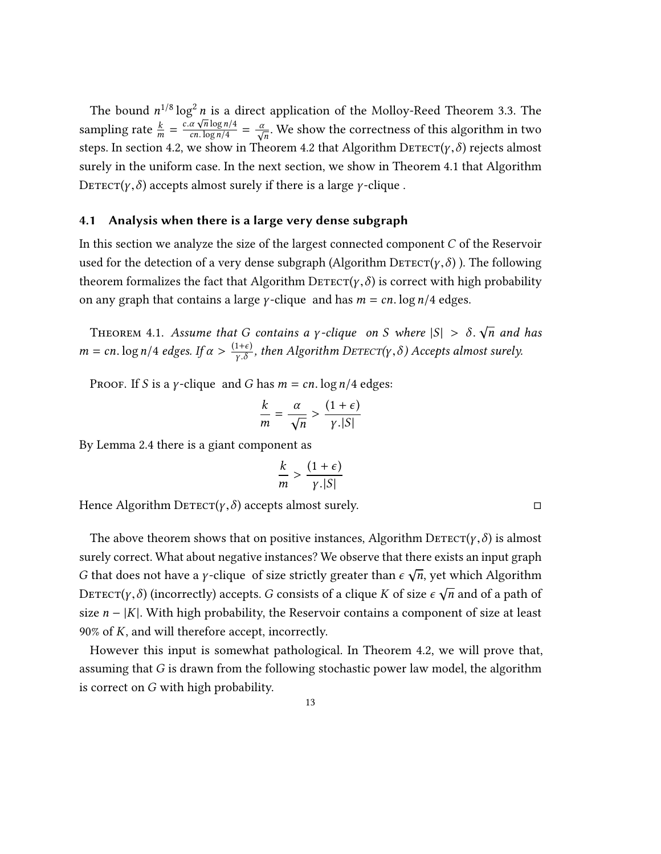The bound  $n^{1/8} \log^2 n$  is a direct application of the Molloy-Reed Theorem [3.3.](#page-9-3) The sampling rate  $\frac{k}{m} = \frac{c \cdot a \sqrt{n} \log n/4}{c n \cdot \log n/4}$ steps. In section [4.2,](#page-13-0) we show in Theorem [4.2](#page-13-1) that Algorithm DETECT( $\gamma$ ,  $\delta$ ) rejects almost  $\frac{\alpha \sqrt{n} \log n/4}{\cosh \sqrt{n}} = \frac{\alpha}{\sqrt{n}}$ . We show the correctness of this algorithm in two surely in the uniform case. In the next section, we show in Theorem [4.1](#page-12-1) that Algorithm  $\text{Derror}(y, \delta)$  accepts almost surely if there is a large *γ*-clique.

#### <span id="page-12-0"></span>4.1 Analysis when there is a large very dense subgraph

In this section we analyze the size of the largest connected component C of the Reservoir used for the detection of a very dense subgraph (Algorithm  $\text{Derror}(y, \delta)$ ). The following theorem formalizes the fact that Algorithm DETECT( $\gamma$ , $\delta$ ) is correct with high probability on any graph that contains a large *γ*-clique and has  $m = cn$ . log  $n/4$  edges.

<span id="page-12-1"></span>THEOREM 4.1. Assume that G contains a y-clique on S where  $|S| > \delta$ .  $\sqrt{n}$  and has  $m = cn$ . log  $n/4$  edges. If  $\alpha > \frac{(1+\epsilon)}{\gamma \cdot \delta}$  $\frac{1+\epsilon}{\gamma.\delta}$ , then Algorithm DETECT(γ, δ) Accepts almost surely.

PROOF. If S is a *γ*-clique and G has  $m = cn$ . log  $n/4$  edges:

$$
\frac{k}{m} = \frac{\alpha}{\sqrt{n}} > \frac{(1+\epsilon)}{\gamma .|S|}
$$

n By Lemma [2.4](#page-7-2) there is a giant component as

$$
\frac{k}{m} > \frac{(1+\epsilon)}{\gamma.|S|}
$$

Hence Algorithm  $\text{Defect}(\gamma,\delta)$  accepts almost surely.

The above theorem shows that on positive instances, Algorithm  $\text{Derror}(y, \delta)$  is almost surely correct. What about negative instances? We observe that there exists an input graph G that does not have a *γ*-clique of size strictly greater than  $\epsilon \sqrt{n}$ , yet which Algorithm DETECT(γ, δ) (incorrectly) accepts. G consists of a clique K of size  $\epsilon \sqrt{n}$  and of a path of size  $n - |K|$ . With high probability, the Reservoir contains a component of size at least 90% of K, and will therefore accept, incorrectly.

However this input is somewhat pathological. In Theorem [4.2,](#page-13-1) we will prove that, assuming that G is drawn from the following stochastic power law model, the algorithm is correct on G with high probability.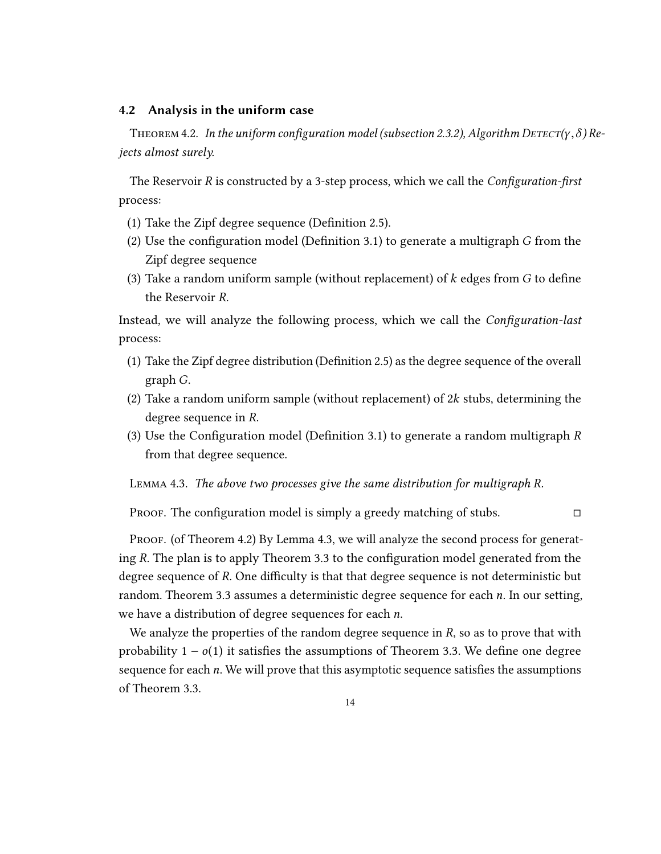#### <span id="page-13-0"></span>4.2 Analysis in the uniform case

<span id="page-13-1"></span>THEOREM 4.2. In the uniform configuration model (subsection [2.3.2\)](#page-8-0), Algorithm DETECT( $\gamma$ ,  $\delta$ ) Rejects almost surely.

The Reservoir R is constructed by a 3-step process, which we call the *Configuration-first* process:

- (1) Take the Zipf degree sequence (Definition [2.5\)](#page-8-2).
- (2) Use the configuration model (Definition [3.1\)](#page-9-4) to generate a multigraph G from the Zipf degree sequence
- (3) Take a random uniform sample (without replacement) of  $k$  edges from  $G$  to define the Reservoir R.

Instead, we will analyze the following process, which we call the *Configuration-last* process:

- (1) Take the Zipf degree distribution (Definition [2.5\)](#page-8-2) as the degree sequence of the overall graph G.
- (2) Take a random uniform sample (without replacement) of 2 $k$  stubs, determining the degree sequence in R.
- (3) Use the Configuration model (Definition [3.1\)](#page-9-4) to generate a random multigraph R from that degree sequence.

<span id="page-13-2"></span>Lemma 4.3. The above two processes give the same distribution for multigraph R.

PROOF. The configuration model is simply a greedy matching of stubs.  $\Box$ 

Proof. (of Theorem [4.2\)](#page-13-1) By Lemma [4.3,](#page-13-2) we will analyze the second process for generating R. The plan is to apply Theorem [3.3](#page-9-3) to the configuration model generated from the degree sequence of R. One difficulty is that that degree sequence is not deterministic but random. Theorem [3.3](#page-9-3) assumes a deterministic degree sequence for each  $n$ . In our setting, we have a distribution of degree sequences for each n.

We analyze the properties of the random degree sequence in  $R$ , so as to prove that with probability  $1 - o(1)$  it satisfies the assumptions of Theorem [3.3.](#page-9-3) We define one degree sequence for each  $n$ . We will prove that this asymptotic sequence satisfies the assumptions of Theorem [3.3.](#page-9-3)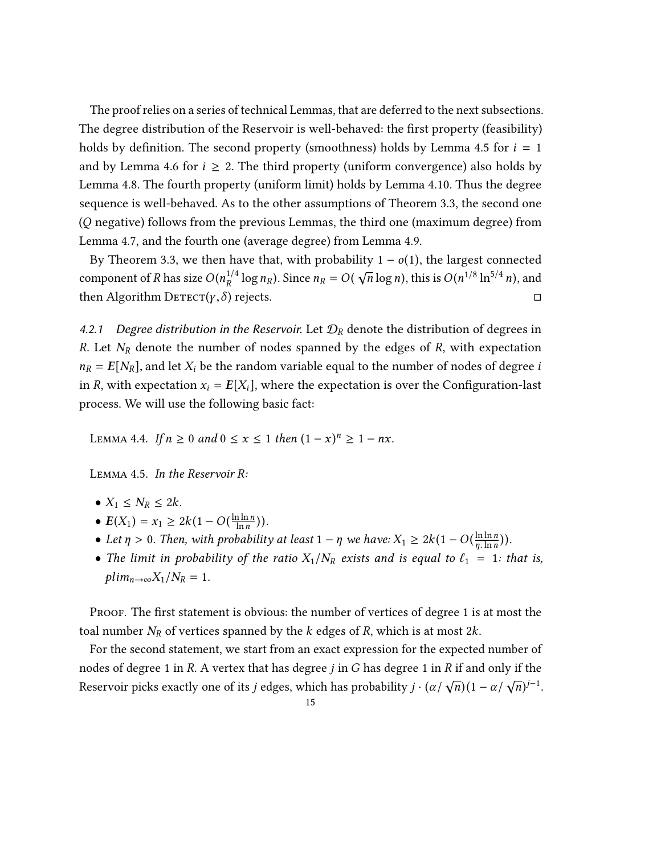The proof relies on a series of technical Lemmas, that are deferred to the next subsections. The degree distribution of the Reservoir is well-behaved: the first property (feasibility) holds by definition. The second property (smoothness) holds by Lemma [4.5](#page-14-1) for  $i = 1$ and by Lemma [4.6](#page-16-0) for  $i \geq 2$ . The third property (uniform convergence) also holds by Lemma [4.8.](#page-18-0) The fourth property (uniform limit) holds by Lemma [4.10.](#page-19-1) Thus the degree sequence is well-behaved. As to the other assumptions of Theorem [3.3,](#page-9-3) the second one (Q negative) follows from the previous Lemmas, the third one (maximum degree) from Lemma [4.7,](#page-16-1) and the fourth one (average degree) from Lemma [4.9.](#page-18-1)

By Theorem [3.3,](#page-9-3) we then have that, with probability  $1 - o(1)$ , the largest connected component of R has size  $O(n_R^{1/4} \log n_R)$ . Since  $n_R = O(\sqrt{n} \log n)$ , this is  $O(n^{1/8} \ln^{5/4} n)$ , and then Algorithm  $\text{D}\text{efects}.$   $\square$ 

<span id="page-14-0"></span>4.2.1 Degree distribution in the Reservoir. Let  $\mathcal{D}_R$  denote the distribution of degrees in R. Let  $N_R$  denote the number of nodes spanned by the edges of R, with expectation  $n_R = E[N_R]$ , and let  $X_i$  be the random variable equal to the number of nodes of degree i in R, with expectation  $x_i = E[X_i]$ , where the expectation is over the Configuration-last process. We will use the following basic fact:

<span id="page-14-2"></span>LEMMA 4.4. If  $n \ge 0$  and  $0 \le x \le 1$  then  $(1 - x)^n \ge 1 - nx$ .

<span id="page-14-1"></span>Lemma 4.5. In the Reservoir R:

- $X_1 \leq N_R \leq 2k$ .
- $E(X_1) = x_1 \geq 2k(1 O(\frac{\ln \ln n}{\ln n}))$
- $E(A_1) = x_1 \geq 2k(1 O(\frac{1}{\ln n}))$ .<br>• Let  $\eta > 0$ . Then, with probability at least  $1 \eta$  we have:  $X_1 \geq 2k(1 O(\frac{\ln \ln n}{\eta \cdot \ln n}))$ .  $\frac{\ln \ln n}{n \cdot \ln n})$ ).
- The limit in probability of the ratio  $X_1/N_R$  exists and is equal to  $\ell_1 = 1$ : that is,  $plim_{n\rightarrow\infty}X_1/N_R=1.$

PROOF. The first statement is obvious: the number of vertices of degree 1 is at most the toal number  $N_R$  of vertices spanned by the k edges of R, which is at most  $2k$ .

For the second statement, we start from an exact expression for the expected number of nodes of degree 1 in R. A vertex that has degree  $j$  in  $G$  has degree 1 in  $R$  if and only if the Reservoir picks exactly one of its *j* edges, which has probability  $j \cdot (\alpha/\sqrt{n})(1 - \alpha/\sqrt{n})$  $\overline{n}$ )<sup>j-1</sup>.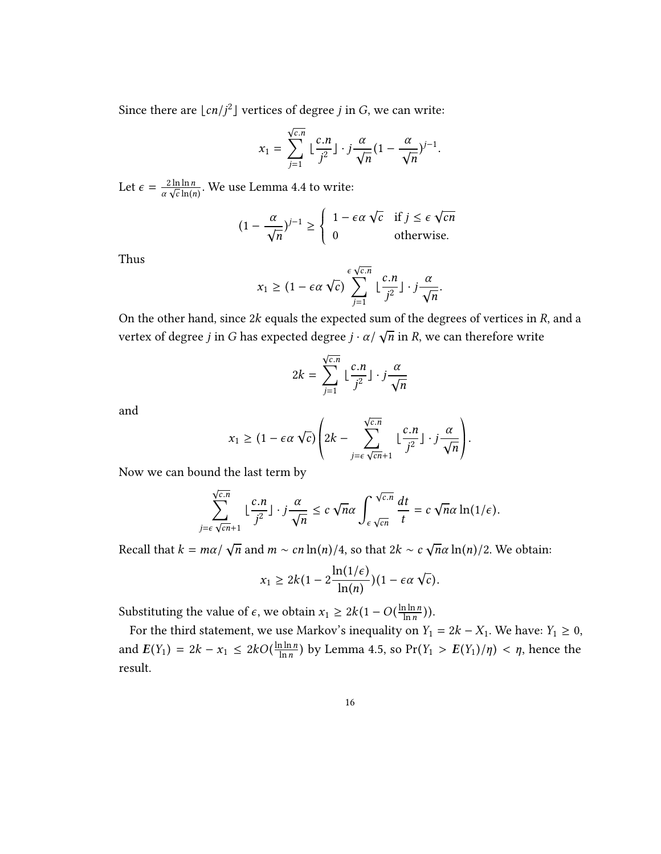Since there are  $\lfloor cn/j^2 \rfloor$  vertices of degree *j* in *G*, we can write:

$$
x_1 = \sum_{j=1}^{\sqrt{c.n}} \lfloor \frac{c.n}{j^2} \rfloor \cdot j \frac{\alpha}{\sqrt{n}} (1 - \frac{\alpha}{\sqrt{n}})^{j-1}.
$$

Let  $\epsilon = \frac{2 \ln \ln n}{\alpha \sqrt{c} \ln(r)}$  $\frac{2 \ln \ln n}{\sqrt{c} \ln(n)}$ . We use Lemma [4.4](#page-14-2) to write:

$$
(1 - \frac{\alpha}{\sqrt{n}})^{j-1} \ge \begin{cases} 1 - \epsilon \alpha \sqrt{c} & \text{if } j \le \epsilon \sqrt{cn} \\ 0 & \text{otherwise.} \end{cases}
$$

Thus

$$
x_1 \ge (1 - \epsilon \alpha \sqrt{c}) \sum_{j=1}^{\epsilon \sqrt{c.n}} \lfloor \frac{c.n}{j^2} \rfloor \cdot j \frac{\alpha}{\sqrt{n}}.
$$

On the other hand, since 2k equals the expected sum of the degrees of vertices in R, and a vertex of degree *j* in *G* has expected degree  $j \cdot \alpha / \sqrt{n}$  in *R*, we can therefore write

$$
2k = \sum_{j=1}^{\sqrt{c.n}} \lfloor \frac{c.n}{j^2} \rfloor \cdot j \frac{\alpha}{\sqrt{n}}
$$

and

$$
x_1 \geq (1 - \epsilon \alpha \sqrt{c}) \left( 2k - \sum_{j=\epsilon \sqrt{cn}+1}^{\sqrt{c.n}} \lfloor \frac{c.n}{j^2} \rfloor \cdot j \frac{\alpha}{\sqrt{n}} \right).
$$

Now we can bound the last term by

$$
\sum_{j=\epsilon\sqrt{cn}+1}^{\sqrt{c.n}} \lfloor \frac{c.n}{j^2} \rfloor \cdot j \frac{\alpha}{\sqrt{n}} \le c \sqrt{n} \alpha \int_{\epsilon\sqrt{cn}}^{\sqrt{c.n}} \frac{dt}{t} = c \sqrt{n} \alpha \ln(1/\epsilon).
$$

Recall that  $k = m\alpha / \sqrt{n}$  and  $m \sim cn \ln(n)/4$ , so that  $2k \sim c \sqrt{n} \alpha \ln(n)/2$ . We obtain:

$$
x_1 \ge 2k(1-2\frac{\ln(1/\epsilon)}{\ln(n)})(1-\epsilon\alpha\sqrt{\epsilon}).
$$

Substituting the value of  $\epsilon$ , we obtain  $x_1 \geq 2k(1 - O(\frac{\ln \ln n}{\ln n}))$  $\frac{\ln \ln n}{\ln n}$ )).

For the third statement, we use Markov's inequality on  $Y_1 = 2k - X_1$ . We have:  $Y_1 \ge 0$ , and  $E(Y_1) = 2k - x_1 \leq 2kO(\frac{\ln \ln n}{\ln n})$  $\frac{\ln \ln n}{\ln n}$ ) by Lemma [4.5,](#page-14-1) so Pr( $Y_1 > E(Y_1)/\eta$ ) <  $\eta$ , hence the result.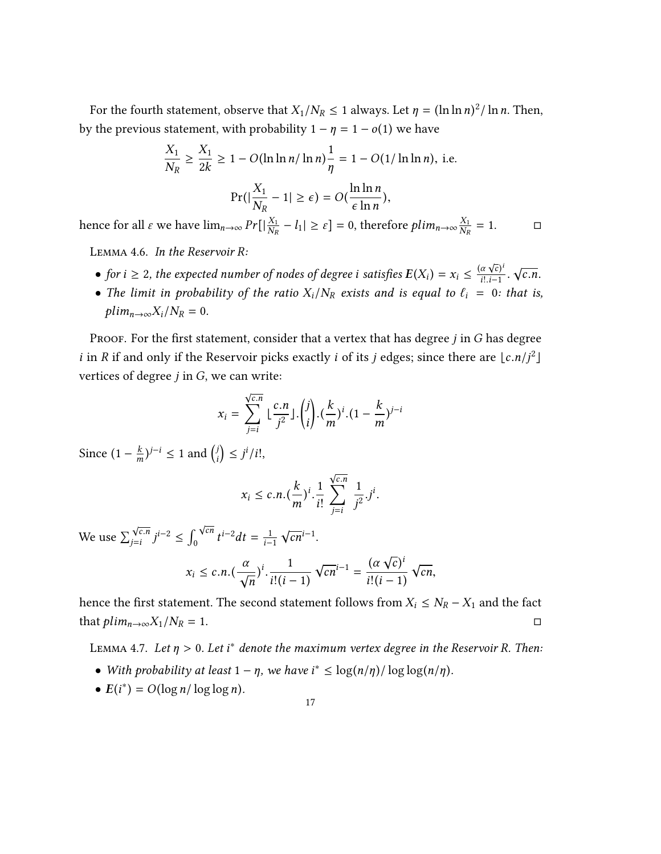For the fourth statement, observe that  $X_1/N_R \le 1$  always. Let  $\eta = (\ln \ln n)^2 / \ln n$ . Then, by the previous statement, with probability  $1 - \eta = 1 - o(1)$  we have

$$
\frac{X_1}{N_R} \ge \frac{X_1}{2k} \ge 1 - O(\ln \ln n / \ln n) \frac{1}{\eta} = 1 - O(1 / \ln \ln n), \text{ i.e.}
$$
\n
$$
\Pr(|\frac{X_1}{N_R} - 1| \ge \epsilon) = O(\frac{\ln \ln n}{\epsilon \ln n}),
$$

√

hence for all  $\varepsilon$  we have  $\lim_{n\to\infty} Pr[|\frac{X_1}{N_R}|]$  $\frac{X_1}{N_R} - l_1 \geq \varepsilon$ ] = 0, therefore  $plim_{n \to \infty} \frac{X_1}{N_R}$ NR  $= 1.$  □

<span id="page-16-0"></span>Lemma 4.6. In the Reservoir R:

- for  $i \ge 2$ , the expected number of nodes of degree i satisfies  $E(X_i) = x_i \le \frac{a_i}{i!}$  $\frac{a\sqrt{c}}{i!..i-1}$ √
- The limit in probability of the ratio  $X_i/N_R$  exists and is equal to  $\ell_i = 0$ : that is,  $plim_{n\rightarrow\infty}X_i/N_R=0.$

PROOF. For the first statement, consider that a vertex that has degree  $j$  in  $G$  has degree *i* in *R* if and only if the Reservoir picks exactly *i* of its *j* edges; since there are  $\lfloor c.n/j^2 \rfloor$ vertices of degree  $j$  in  $G$ , we can write:

$$
x_i = \sum_{j=i}^{\sqrt{c.n}} \lfloor \frac{c.n}{j^2} \rfloor \cdot {j \choose i} \cdot (\frac{k}{m})^i \cdot (1 - \frac{k}{m})^{j-i}
$$

Since  $(1 - \frac{k}{m})^{j-i} \le 1$  and  $\binom{j}{i} \le j^i/i!$ ,

$$
x_i \leq c.n. \left(\frac{k}{m}\right)^i \cdot \frac{1}{i!} \sum_{j=i}^{\sqrt{c.n}} \frac{1}{j^2} \cdot j^i.
$$

We use  $\sum_{j=i}^{\sqrt{c.n}} j^{i-2} \le \int_0^{\sqrt{cn}} t^{i-2} dt = \frac{1}{i-1}$  $\overline{i-1}$  $\sqrt{cn}^{i-1}$ .

$$
x_i \leq c.n. \left(\frac{\alpha}{\sqrt{n}}\right)^i \cdot \frac{1}{i!(i-1)} \sqrt{cn^{i-1}} = \frac{(\alpha \sqrt{c})^i}{i!(i-1)} \sqrt{cn},
$$

hence the first statement. The second statement follows from  $X_i \le N_R - X_1$  and the fact that  $plim_{n\to\infty}X_1/N_R=1$ . □

<span id="page-16-1"></span>LEMMA 4.7. Let  $\eta > 0$ . Let i $^*$  denote the maximum vertex degree in the Reservoir R. Then:

- With probability at least  $1 \eta$ , we have  $i^* \leq \log(n/\eta) / \log \log(n/\eta)$ .
- $E(i^*) = O(\log n / \log \log n)$ .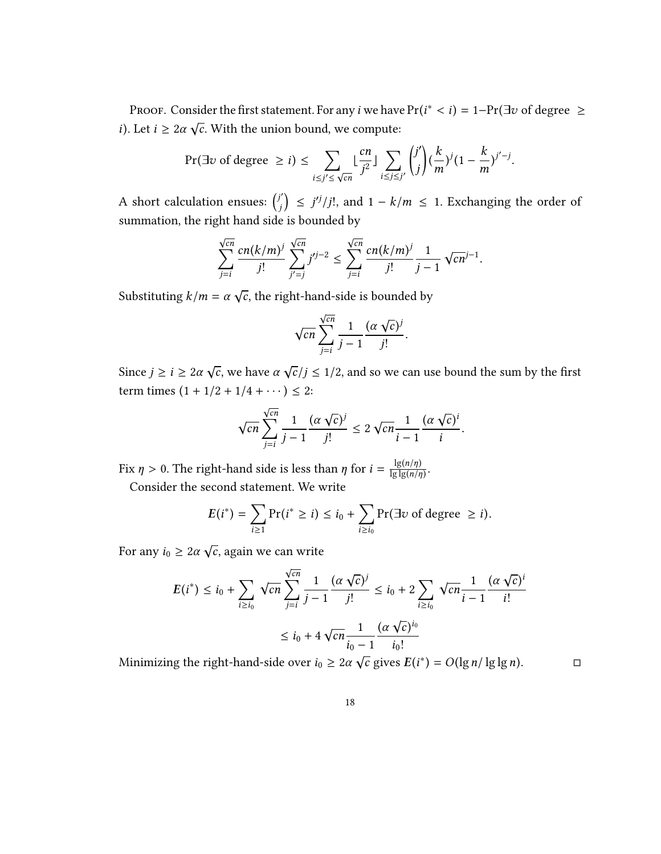PROOF. Consider the first statement. For any *i* we have  $Pr(i^* < i) = 1 - Pr(\exists v \text{ of degree } \ge 1, i \ge 0)$ i). Let  $i \geq 2\alpha \sqrt{c}$ . With the union bound, we compute:

$$
\Pr(\exists v \text{ of degree } \geq i) \leq \sum_{i \leq j' \leq \sqrt{cn}} \lfloor \frac{cn}{j^2} \rfloor \sum_{i \leq j \leq j'} {j' \choose j} (\frac{k}{m})^j (1 - \frac{k}{m})^{j'-j}.
$$

A short calculation ensues:  $\int_0^f$  $\binom{n}{j}$  ≤ *j'<sup>j</sup>*/*j*!, and 1 – *k*/*m* ≤ 1. Exchanging the order of summation, the right hand side is bounded by

$$
\sum_{j=i}^{\sqrt{cn}} \frac{cn(k/m)^j}{j!} \sum_{j'=j}^{\sqrt{cn}} j'^{j-2} \le \sum_{j=i}^{\sqrt{cn}} \frac{cn(k/m)^j}{j!} \frac{1}{j-1} \sqrt{cn}^{j-1}.
$$

Substituting  $k/m = \alpha \sqrt{c}$ , the right-hand-side is bounded by

$$
\sqrt{cn} \sum_{j=i}^{\sqrt{cn}} \frac{1}{j-1} \frac{(\alpha \sqrt{c})^j}{j!}.
$$

Since  $j \ge i \ge 2\alpha \sqrt{c}$ , we have  $\alpha \sqrt{c}/j \le 1/2$ , and so we can use bound the sum by the first term times  $(1 + 1/2 + 1/4 + \cdots) \leq 2$ :

$$
\sqrt{cn} \sum_{j=i}^{\sqrt{cn}} \frac{1}{j-1} \frac{(\alpha \sqrt{c})^j}{j!} \le 2 \sqrt{cn} \frac{1}{i-1} \frac{(\alpha \sqrt{c})^i}{i}.
$$

Fix  $\eta > 0$ . The right-hand side is less than  $\eta$  for  $i = \frac{\lg(n/\eta)}{\lg\lg(n/\eta)}$  $\frac{\lg(n/\eta)}{\lg\lg(n/\eta)}$ .

Consider the second statement. We write

$$
E(i^*) = \sum_{i \geq 1} \Pr(i^* \geq i) \leq i_0 + \sum_{i \geq i_0} \Pr(\exists v \text{ of degree } \geq i).
$$

For any  $i_0 \geq 2\alpha \sqrt{c}$ , again we can write

$$
E(i^*) \le i_0 + \sum_{i \ge i_0} \sqrt{cn} \sum_{j=i}^{\sqrt{cn}} \frac{1}{j-1} \frac{(\alpha \sqrt{c})^j}{j!} \le i_0 + 2 \sum_{i \ge i_0} \sqrt{cn} \frac{1}{i-1} \frac{(\alpha \sqrt{c})^i}{i!}
$$
  

$$
\le i_0 + 4 \sqrt{cn} \frac{1}{i_0 - 1} \frac{(\alpha \sqrt{c})^{i_0}}{i_0!}
$$

Minimizing the right-hand-side over  $i_0 \geq 2\alpha \sqrt{c}$  gives  $E(i^*) = O(\lg n / \lg \lg n)$ .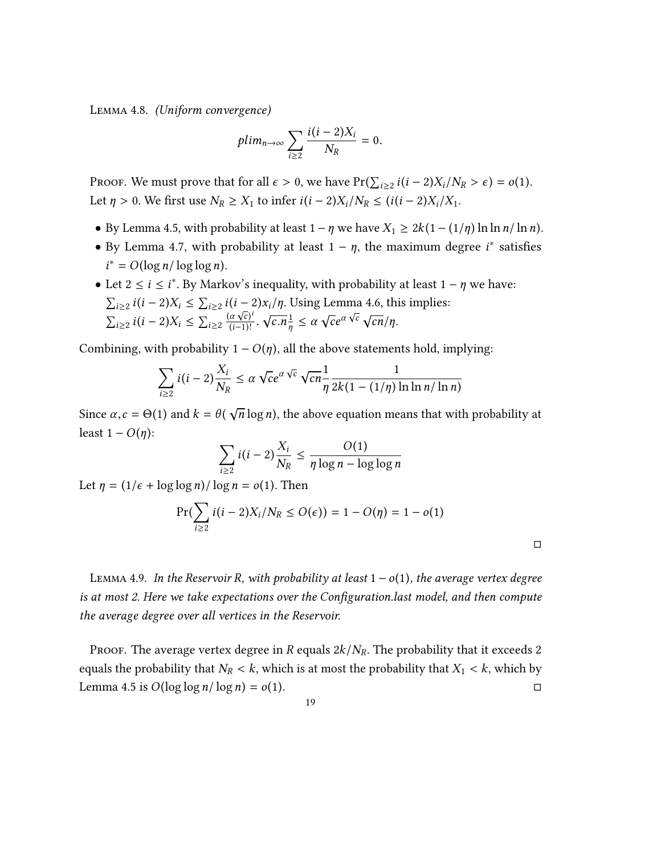<span id="page-18-0"></span>Lemma 4.8. (Uniform convergence)

$$
plim_{n\to\infty}\sum_{i\geq 2}\frac{i(i-2)X_i}{N_R}=0.
$$

PROOF. We must prove that for all  $\epsilon > 0$ , we have  $Pr(\sum_{i \ge 2} i(i-2)X_i/N_R > \epsilon) = o(1)$ . Let  $\eta > 0$ . We first use  $N_R \ge X_1$  to infer  $i(i-2)X_i/N_R \le (i(i-2)X_i/X_1$ .

- By Lemma [4.5,](#page-14-1) with probability at least  $1 \eta$  we have  $X_1 \ge 2k(1 (1/\eta) \ln \ln n / \ln n)$ .
- By Lemma [4.7,](#page-16-1) with probability at least  $1 \eta$ , the maximum degree  $i^*$  satisfies  $i^* = O(\log n / \log \log n)$ .
- Let  $2 \le i \le i^*$ . By Markov's inequality, with probability at least  $1 \eta$  we have:  $\sum_{i\geq 2} i(i-2)X_i \leq \sum_{i\geq 2} i(i-2)x_i/\eta$ . Using Lemma [4.6,](#page-16-0) this implies:  $\sum_{i\geq 2} i(i-2)X_i \leq \sum_{i\geq 2} \frac{(\alpha \sqrt{c})^i}{(i-1)!}.$ √  $\frac{1}{\eta} \leq \alpha$ η √  $ce^{\alpha}$ √  $\sqrt{cn}/\eta$ .

Combining, with probability  $1 - O(n)$ , all the above statements hold, implying:

$$
\sum_{i\geq 2} i(i-2)\frac{X_i}{N_R} \leq \alpha \sqrt{c}e^{\alpha \sqrt{c}} \sqrt{c}n \frac{1}{\eta} \frac{1}{2k(1-(1/\eta)\ln \ln n/\ln n)}
$$

Since  $\alpha$ ,  $c = \Theta(1)$  and  $k = \theta(\sqrt{n}\log n)$ , the above equation means that with probability at least  $1 - O(\eta)$ :

$$
\sum_{i\geq 2} i(i-2)\frac{X_i}{N_R} \leq \frac{O(1)}{\eta \log n - \log \log n}
$$

Let  $\eta = (1/\epsilon + \log \log n)/\log n = o(1)$ . Then

$$
\Pr(\sum_{i\geq 2} i(i-2)X_i/N_R \leq O(\epsilon)) = 1 - O(\eta) = 1 - o(1)
$$

□

<span id="page-18-1"></span>LEMMA 4.9. In the Reservoir R, with probability at least  $1 - o(1)$ , the average vertex degree is at most 2. Here we take expectations over the Configuration.last model, and then compute the average degree over all vertices in the Reservoir.

PROOF. The average vertex degree in R equals  $2k/N_R$ . The probability that it exceeds 2 equals the probability that  $N_R < k$ , which is at most the probability that  $X_1 < k$ , which by Lemma 4.5 is  $O(\log \log n / \log n) = o(1)$ . Lemma [4.5](#page-14-1) is  $O(\log \log n / \log n) = o(1)$ .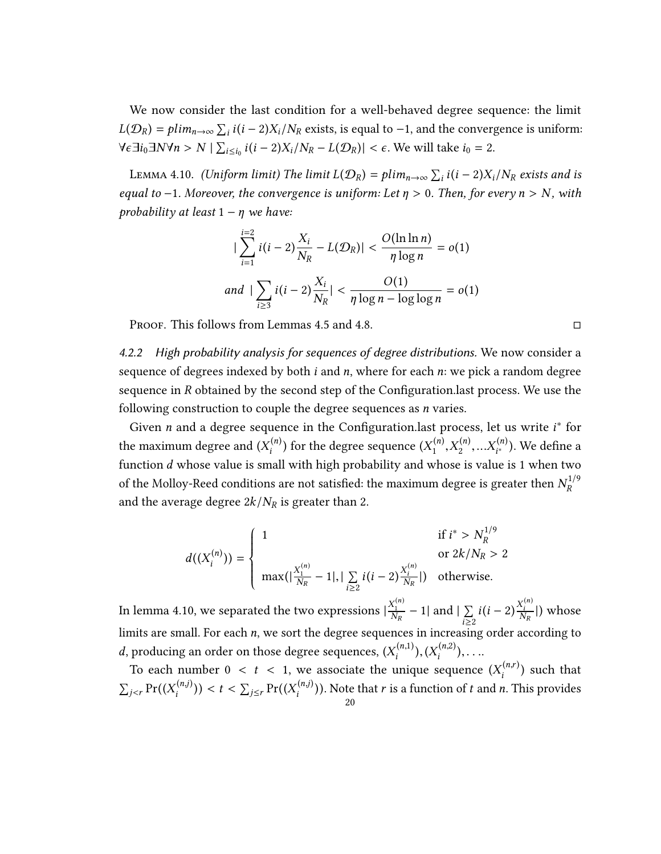We now consider the last condition for a well-behaved degree sequence: the limit  $L(D_R) = plim_{n\to\infty} \sum_i i(i-2)X_i/N_R$  exists, is equal to -1, and the convergence is uniform:<br> $L(D_R) = Plim_{n\to\infty} \sum_i i(i-2)X_i/N_R$  exists, is equal to -1, and the convergence is uniform:  $\forall \epsilon \exists i_0 \exists N \forall n > N \mid \sum_{i \leq i_0} i(i-2)X_i/N_R - L(\mathcal{D}_R) \mid < \epsilon$ . We will take  $i_0 = 2$ .

<span id="page-19-1"></span>LEMMA 4.10. (Uniform limit) The limit  $L(D_R) = plim_{n\to\infty} \sum_i i(i-2)X_i/N_R$  exists and is equal to -1. Moreover, the convergence is uniform: Let  $\eta > 0$ . Then, for every  $n > N$ , with probability at least  $1 - \eta$  we have:

$$
|\sum_{i=1}^{i=2} i(i-2)\frac{X_i}{N_R} - L(\mathcal{D}_R)| < \frac{O(\ln \ln n)}{\eta \log n} = o(1)
$$
  
and 
$$
|\sum_{i\geq 3} i(i-2)\frac{X_i}{N_R}| < \frac{O(1)}{\eta \log n - \log \log n} = o(1)
$$

Proof. This follows from Lemmas [4.5](#page-14-1) and [4.8.](#page-18-0)  $\Box$ 

<span id="page-19-0"></span>4.2.2 High probability analysis for sequences of degree distributions. We now consider a sequence of degrees indexed by both  $i$  and  $n$ , where for each  $n$ : we pick a random degree sequence in  *obtained by the second step of the Configuration. last process. We use the* following construction to couple the degree sequences as *n* varies.

Given *n* and a degree sequence in the Configuration.last process, let us write  $i^*$  for the maximum degree and  $(X_i^{(n)})$  for the degree sequence  $(X_1^{(n)}, X_2^{(n)}, \ldots X_{i^*}^{(n)})$ . We define a function d whose value is small with high probability and whose is value is 1 when two  $\frac{c_1! \cdot N!}{N!}$ of the Molloy-Reed conditions are not satisfied: the maximum degree is greater then  $N_R^{1/9}$ and the average degree  $2k/N_R$  is greater than 2.

$$
d((X_i^{(n)})) = \begin{cases} 1 & \text{if } i^* > N_R^{1/9} \\ & \text{or } 2k/N_R > 2 \\ \max(|\frac{X_1^{(n)}}{N_R} - 1|, |\sum_{i \ge 2} i(i-2)\frac{X_i^{(n)}}{N_R}|) & \text{otherwise.} \end{cases}
$$

In lemma [4.10,](#page-19-1) we separated the two expressions  $|\frac{X_1^{(k)}}{N_R} - 1|$  and  $|\sum_{i \geq 2} i(i-2) \frac{X_i^{(k)}}{N_R}|)$  whose limits are small. For each *n*, we sort the degree sequences in increasing order according to *d*, producing an order on those degree sequences,  $(X_i^{(n,1)}), (X_i^{(n,2)}), \ldots$ 

To each number  $0 < t < 1$ , we associate the unique sequence  $(X_i^{(n,r)})$  such that  $\sum_{j \leq r} \Pr((X_i^{(n,j)})) < t < \sum_{j \leq r} \Pr((X_i^{(n,j)}))$ . Note that r is a function of t and n  $\iota$  )  $\iota$  $\sum_{j\leq r} \Pr((X_i^{(n,j)})$  $\binom{n(j)}{i}$ ). Note that *r* is a function of *t* and *n*. This provides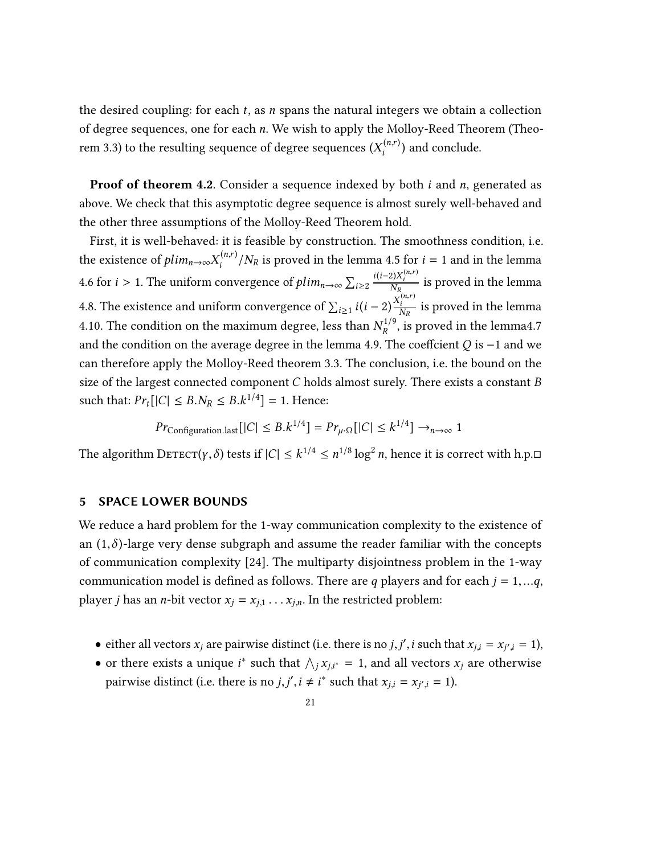the desired coupling: for each  $t$ , as n spans the natural integers we obtain a collection of degree sequences, one for each n. We wish to apply the Molloy-Reed Theorem (Theo-rem [3.3\)](#page-9-3) to the resulting sequence of degree sequences  $(X_i^{(n,r)})$  and conclude.

**Proof of theorem [4.2](#page-13-1).** Consider a sequence indexed by both  $i$  and  $n$ , generated as above. We check that this asymptotic degree sequence is almost surely well-behaved and the other three assumptions of the Molloy-Reed Theorem hold.

First, it is well-behaved: it is feasible by construction. The smoothness condition, i.e. the existence of  $plim_{n\to\infty}X_i^{(n,r)}/N_R$  is proved in the lemma [4.5](#page-14-1) for  $i = 1$  and in the lemma [4.6](#page-16-0) for *i* > 1. The uniform convergence of  $plim_{n\rightarrow\infty}\sum_{i\geq 2}$  $\frac{i(i-2)X_i^{(n,r)}}{N_D}$  $\tilde{\mathbf{v}}$ is proved in the lemma [4.8.](#page-18-0) The existence and uniform convergence of  $\sum_{i\geq 1} i(i-2)\frac{X_i^{(n)}}{N_R}$  is proved in the lemma [4.10.](#page-19-1) The condition on the maximum degree, less than  $N_R^{1/9}$ , is proved in the lemm[a4.7](#page-16-1) and the condition on the average degree in the lemma [4.9.](#page-18-1) The coeffcient  $Q$  is −1 and we can therefore apply the Molloy-Reed theorem [3.3.](#page-9-3) The conclusion, i.e. the bound on the size of the largest connected component  $C$  holds almost surely. There exists a constant  $B$ such that:  $Pr_t[|C| \leq B.N_R \leq B.k^{1/4}] = 1$ . Hence:

$$
Pr_{\text{Configuration.last}}[|C| \leq B.k^{1/4}] = Pr_{\mu \cdot \Omega}[|C| \leq k^{1/4}] \rightarrow_{n \to \infty} 1
$$

The algorithm  $\text{Derror}(y, \delta)$  tests if  $|C| \leq k^{1/4} \leq n^{1/8} \log^2 n$ , hence it is correct with h.p. $\Box$ 

#### <span id="page-20-0"></span>5 SPACE LOWER BOUNDS

We reduce a hard problem for the 1-way communication complexity to the existence of an  $(1,\delta)$ -large very dense subgraph and assume the reader familiar with the concepts of communication complexity [\[24\]](#page-31-9). The multiparty disjointness problem in the 1-way communication model is defined as follows. There are q players and for each  $j = 1, \dots q$ , player *j* has an *n*-bit vector  $x_j = x_{j,1} \dots x_{j,n}$ . In the restricted problem:

- either all vectors  $x_j$  are pairwise distinct (i.e. there is no *j*, *j'*, *i* such that  $x_{j,i} = x_{j',i} = 1$ ),
- or there exists a unique *i*<sup>\*</sup> such that  $\bigwedge_j x_{j,i^*} = 1$ , and all vectors  $x_j$  are otherwise pairwise distinct (i.e. there is no *j*, *j'*, *i*  $\neq$  *i*<sup>\*</sup> such that  $x_{j,i} = x_{j',i} = 1$ ).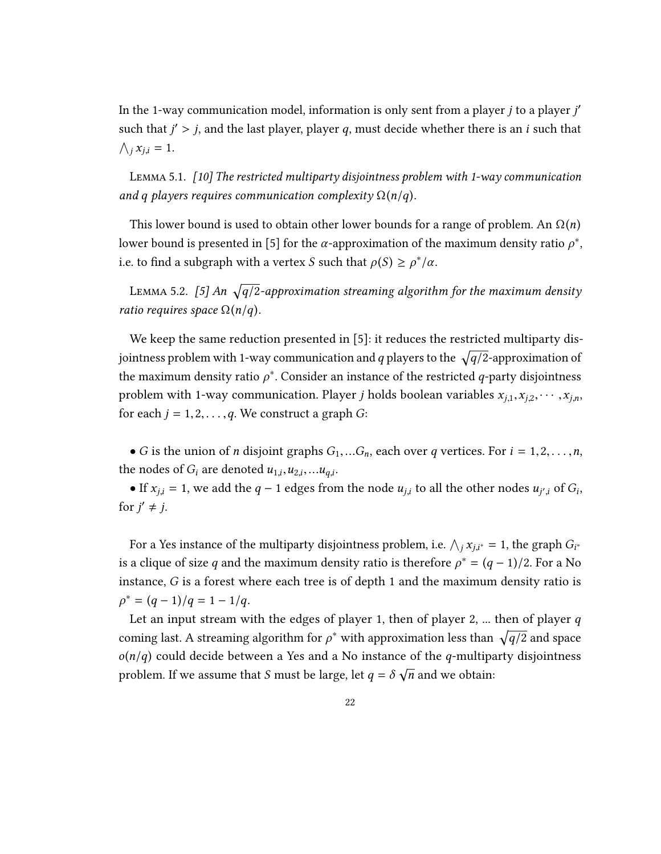In the 1-way communication model, information is only sent from a player  $j$  to a player  $j'$ such that  $j' > j$ , and the last player, player q, must decide whether there is an *i* such that  $\bigwedge_j x_{j,i} = 1.$ 

<span id="page-21-1"></span>Lemma 5.1. [\[10\]](#page-30-8) The restricted multiparty disjointness problem with 1-way communication and q players requires communication complexity  $\Omega(n/q)$ .

This lower bound is used to obtain other lower bounds for a range of problem. An  $\Omega(n)$ lower bound is presented in [\[5\]](#page-29-2) for the  $\alpha$ -approximation of the maximum density ratio  $\rho^*$ , i.e. to find a subgraph with a vertex *S* such that  $\rho(S) \ge \rho^*/\alpha$ .

<span id="page-21-0"></span>LEMMA 5.2. [\[5\]](#page-29-2) An  $\sqrt{q/2}$ -approximation streaming algorithm for the maximum density ratio requires space  $\Omega(n/q)$ .

We keep the same reduction presented in [\[5\]](#page-29-2): it reduces the restricted multiparty disjointness problem with 1-way communication and q players to the  $\sqrt{q/2}$ -approximation of the maximum density ratio  $\rho^*$ . Consider an instance of the restricted *q*-party disjointness problem with 1-way communication. Player *j* holds boolean variables  $x_{j,1}, x_{j,2}, \dots, x_{j,n}$ , for each  $j = 1, 2, \ldots, q$ . We construct a graph G:

• G is the union of *n* disjoint graphs  $G_1,...G_n$ , each over q vertices. For  $i = 1,2,...,n$ , the nodes of  $G_i$  are denoted  $u_{1,i}, u_{2,i}, \ldots u_{q,i}$ .

• If  $x_{j,i} = 1$ , we add the  $q - 1$  edges from the node  $u_{j,i}$  to all the other nodes  $u_{j',i}$  of  $G_i$ , for  $j' \neq j$ .

For a Yes instance of the multiparty disjointness problem, i.e.  $\bigwedge_j x_{j,i^*} = 1$ , the graph  $G_{i^*}$ is a clique of size q and the maximum density ratio is therefore  $\rho^* = (q - 1)/2$ . For a No instance, G is a forest where each tree is of depth 1 and the maximum density ratio is  $\rho^* = (q-1)/q = 1 - 1/q.$ 

Let an input stream with the edges of player 1, then of player 2, ... then of player  $q$ coming last. A streaming algorithm for  $\rho^*$  with approximation less than  $\sqrt{q/2}$  and space  $o(n/q)$  could decide between a Yes and a No instance of the q-multiparty disjointness problem. If we assume that S must be large, let  $q = \delta \sqrt{n}$  and we obtain: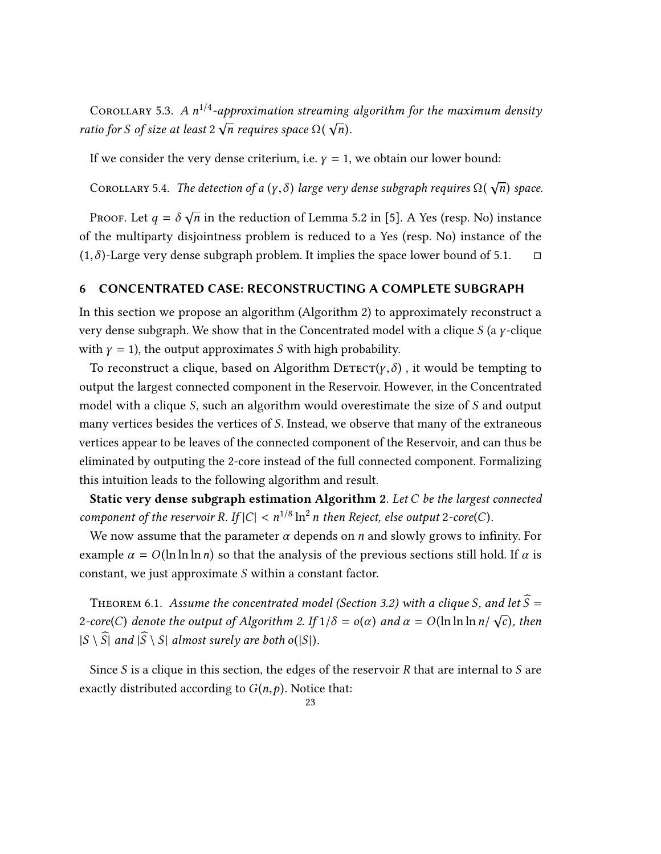<span id="page-22-3"></span>COROLLARY 5.3. A  $n^{1/4}$ -approximation streaming algorithm for the maximum density ratio for S of size at least  $2\sqrt{n}$  requires space  $\Omega(\sqrt{n})$ .

If we consider the very dense criterium, i.e.  $\gamma = 1$ , we obtain our lower bound:

<span id="page-22-1"></span>COROLLARY 5.4. The detection of a  $(\gamma,\delta)$  large very dense subgraph requires  $\Omega(\sqrt{n})$  space.

PROOF. Let  $q = \delta \sqrt{n}$  in the reduction of Lemma [5.2](#page-21-0) in [\[5\]](#page-29-2). A Yes (resp. No) instance of the multiparty disjointness problem is reduced to a Yes (resp. No) instance of the  $(1,\delta)$ -Large very dense subgraph problem. It implies the space lower bound of [5.1.](#page-21-1)  $\Box$ 

#### <span id="page-22-0"></span>6 CONCENTRATED CASE: RECONSTRUCTING A COMPLETE SUBGRAPH

In this section we propose an algorithm (Algorithm 2) to approximately reconstruct a very dense subgraph. We show that in the Concentrated model with a clique S (a  $\gamma$ -clique with  $\gamma = 1$ ), the output approximates S with high probability.

To reconstruct a clique, based on Algorithm  $\text{Derror}(y, \delta)$ , it would be tempting to output the largest connected component in the Reservoir. However, in the Concentrated model with a clique S, such an algorithm would overestimate the size of S and output many vertices besides the vertices of S. Instead, we observe that many of the extraneous vertices appear to be leaves of the connected component of the Reservoir, and can thus be eliminated by outputing the 2-core instead of the full connected component. Formalizing this intuition leads to the following algorithm and result.

Static very dense subgraph estimation Algorithm 2. Let  $C$  be the largest connected component of the reservoir R. If  $|C| < n^{1/8} \ln^2 n$  then Reject, else output 2-core(C).

We now assume that the parameter  $\alpha$  depends on n and slowly grows to infinity. For example  $\alpha = O(\ln \ln \ln n)$  so that the analysis of the previous sections still hold. If  $\alpha$  is constant, we just approximate S within a constant factor.

<span id="page-22-2"></span>THEOREM 6.1. Assume the concentrated model (Section [3.2\)](#page-10-0) with a clique S, and let  $\widehat{S}$  = 2-core(C) denote the output of Algorithm 2. If  $1/\delta = o(\alpha)$  and  $\alpha = O(\ln \ln \ln n / \sqrt{c})$ , then  $|S \setminus \widehat{S}|$  and  $|\widehat{S} \setminus S|$  almost surely are both o(|S|).

Since  $S$  is a clique in this section, the edges of the reservoir  $R$  that are internal to  $S$  are exactly distributed according to  $G(n, p)$ . Notice that: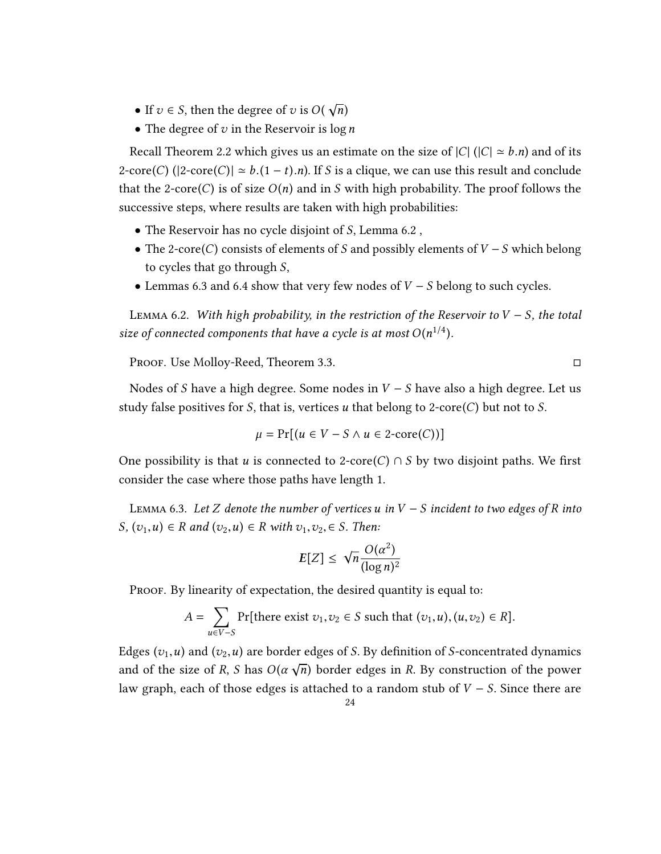- If  $v \in S$ , then the degree of v is  $O(\sqrt{N})$
- The degree of  $v$  in the Reservoir is  $\log n$

Recall Theorem [2.2](#page-7-3) which gives us an estimate on the size of  $|C|$  ( $|C| \approx b.n$ ) and of its 2-core(C) ( $|2\textrm{-core}(C)| \simeq b.(1-t).n$ ). If S is a clique, we can use this result and conclude that the 2-core(C) is of size  $O(n)$  and in S with high probability. The proof follows the successive steps, where results are taken with high probabilities:

- The Reservoir has no cycle disjoint of S, Lemma [6.2](#page-23-0) ,
- The 2-core(C) consists of elements of S and possibly elements of  $V S$  which belong to cycles that go through S,
- Lemmas [6.3](#page-23-1) and [6.4](#page-24-0) show that very few nodes of  $V S$  belong to such cycles.

<span id="page-23-0"></span>LEMMA 6.2. With high probability, in the restriction of the Reservoir to  $V - S$ , the total size of connected components that have a cycle is at most  $O(n^{1/4})$ .

Proof. Use Molloy-Reed, Theorem [3.3.](#page-9-3) □

Nodes of S have a high degree. Some nodes in  $V - S$  have also a high degree. Let us study false positives for S, that is, vertices u that belong to 2-core(C) but not to S.

$$
\mu = \Pr[(u \in V - S \land u \in 2\text{-core}(C))]
$$

One possibility is that u is connected to 2-core(C)  $\cap$  S by two disjoint paths. We first consider the case where those paths have length 1.

<span id="page-23-1"></span>LEMMA 6.3. Let Z denote the number of vertices u in V – S incident to two edges of R into S,  $(v_1, u) \in R$  and  $(v_2, u) \in R$  with  $v_1, v_2, \in S$ . Then:

$$
E[Z] \leq \sqrt{n} \frac{O(\alpha^2)}{(\log n)^2}
$$

PROOF. By linearity of expectation, the desired quantity is equal to:

$$
A = \sum_{u \in V-S} \Pr[\text{there exist } v_1, v_2 \in S \text{ such that } (v_1, u), (u, v_2) \in R].
$$

Edges  $(v_1, u)$  and  $(v_2, u)$  are border edges of S. By definition of S-concentrated dynamics and of the size of R, S has  $O(\alpha \sqrt{n})$  border edges in R. By construction of the power law graph, each of those edges is attached to a random stub of  $V - S$ . Since there are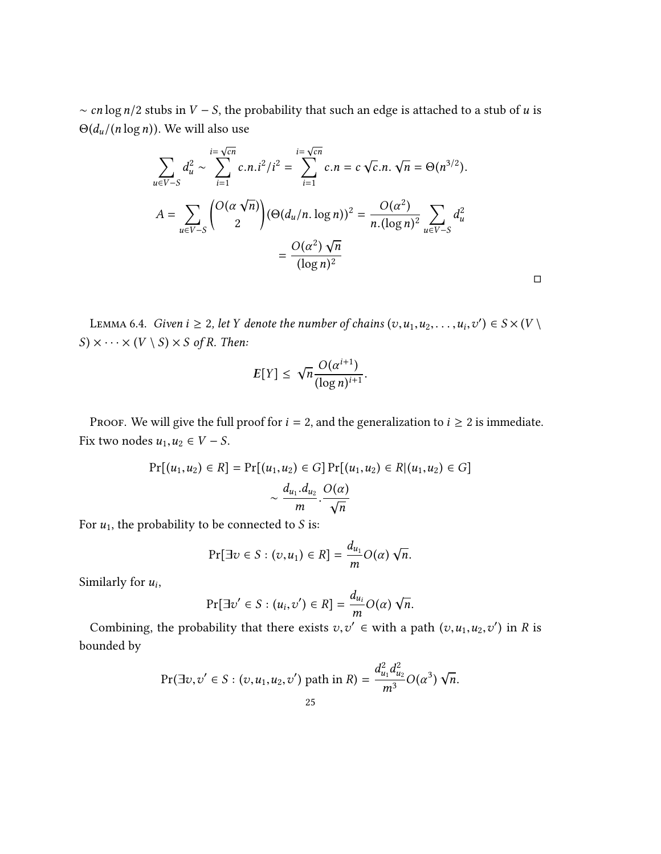$\sim$  cn log n/2 stubs in V – S, the probability that such an edge is attached to a stub of u is  $\Theta(d_u/(n \log n))$ . We will also use

$$
\sum_{u \in V-S} d_u^2 \sim \sum_{i=1}^{i=\sqrt{cn}} c.n.i^2/i^2 = \sum_{i=1}^{i=\sqrt{cn}} c.n = c\sqrt{c}.n.\sqrt{n} = \Theta(n^{3/2}).
$$
  

$$
A = \sum_{u \in V-S} \binom{O(\alpha \sqrt{n})}{2} (\Theta(d_u/n. \log n))^2 = \frac{O(\alpha^2)}{n.(\log n)^2} \sum_{u \in V-S} d_u^2
$$

$$
= \frac{O(\alpha^2) \sqrt{n}}{(\log n)^2}
$$

□

<span id="page-24-0"></span>LEMMA 6.4. *Given i*  $\geq 2$ , let *Y* denote the number of chains  $(v, u_1, u_2, \ldots, u_i, v_1, \ldots, v_{i-1}, v_{i+1})$  $\prime$ )  $\in S \times (V \setminus$  $S) \times \cdots \times (V \setminus S) \times S$  of R. Then:

$$
E[Y] \leq \sqrt{n} \frac{O(\alpha^{i+1})}{(\log n)^{i+1}}.
$$

PROOF. We will give the full proof for  $i = 2$ , and the generalization to  $i \ge 2$  is immediate. Fix two nodes  $u_1, u_2 \in V - S$ .

$$
Pr[(u_1, u_2) \in R] = Pr[(u_1, u_2) \in G] Pr[(u_1, u_2) \in R | (u_1, u_2) \in G]
$$

$$
\sim \frac{d_{u_1} \cdot d_{u_2}}{m} \cdot \frac{O(\alpha)}{\sqrt{n}}
$$

For  $u_1$ , the probability to be connected to S is:

$$
Pr[\exists v \in S : (v, u_1) \in R] = \frac{d_{u_1}}{m} O(\alpha) \sqrt{n}.
$$

Similarly for  $u_i$ ,

$$
\Pr[\exists v' \in S : (u_i, v') \in R] = \frac{d_{u_i}}{m} O(\alpha) \sqrt{n}.
$$

m Combining, the probability that there exists  $v, v' \in$  with a path  $(v, u_1, u_2, v')$  in R is bounded by

$$
\Pr(\exists v, v' \in S : (v, u_1, u_2, v') \text{ path in } R) = \frac{d_{u_1}^2 d_{u_2}^2}{m^3} O(\alpha^3) \sqrt{n}.
$$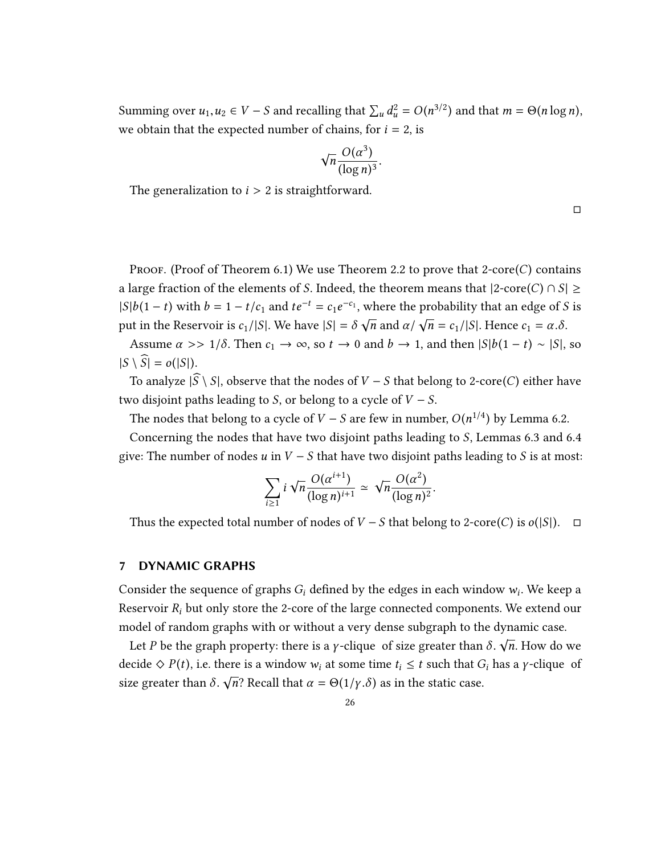Summing over  $u_1, u_2 \in V - S$  and recalling that  $\sum_u d_u^2 = O(n^{3/2})$  and that  $m = \Theta(n \log n)$ , we obtain that the expected number of chains, for  $i = 2$ , is

$$
\sqrt{n} \frac{O(\alpha^3)}{(\log n)^3}.
$$

The generalization to  $i > 2$  is straightforward.

□

Proof. (Proof of Theorem [6.1\)](#page-22-2) We use Theorem [2.2](#page-7-3) to prove that 2-core(C) contains a large fraction of the elements of S. Indeed, the theorem means that  $|2\textrm{-core}(C) \cap S| \ge$  $|S|b(1-t)$  with  $b = 1 - t/c_1$  and  $te^{-t} = c_1e^{-c_1}$ , where the probability that an edge of S is put in the Reservoir is  $c_1/|S|$ . We have  $|S| = \delta \sqrt{n}$  and  $\alpha / \sqrt{n} = c_1/|S|$ . Hence  $c_1 = \alpha .\delta$ .

Assume  $\alpha >> 1/\delta$ . Then  $c_1 \to \infty$ , so  $t \to 0$  and  $b \to 1$ , and then  $|S|b(1-t) \sim |S|$ , so  $|S \setminus \widehat{S}| = o(|S|).$ 

To analyze  $|\widehat{S}\setminus S|$ , observe that the nodes of V – S that belong to 2-core(C) either have two disjoint paths leading to S, or belong to a cycle of  $V - S$ .

The nodes that belong to a cycle of  $V - S$  are few in number,  $O(n^{1/4})$  by Lemma [6.2.](#page-23-0)

Concerning the nodes that have two disjoint paths leading to S, Lemmas [6.3](#page-23-1) and [6.4](#page-24-0) give: The number of nodes  $u$  in  $V - S$  that have two disjoint paths leading to  $S$  is at most:

$$
\sum_{i\geq 1} i \sqrt{n} \frac{O(\alpha^{i+1})}{(\log n)^{i+1}} \simeq \sqrt{n} \frac{O(\alpha^2)}{(\log n)^2}
$$

Thus the expected total number of nodes of  $V - S$  that belong to 2-core(C) is  $o(|S|)$ . □

#### <span id="page-25-0"></span>7 DYNAMIC GRAPHS

Consider the sequence of graphs  $G_i$  defined by the edges in each window  $w_i$ . We keep a Reservoir  $R_i$  but only store the 2-core of the large connected components. We extend our model of random graphs with or without a very dense subgraph to the dynamic case.

Let P be the graph property: there is a *γ*-clique of size greater than  $\delta$ .  $\sqrt{n}$ . How do we decide  $\Diamond P(t)$ , i.e. there is a window  $w_i$  at some time  $t_i \leq t$  such that  $G_i$  has a *y*-clique of size greater than  $\delta$ .  $\sqrt{n}$ ? Recall that  $\alpha = \Theta(1/\gamma.\delta)$  as in the static case.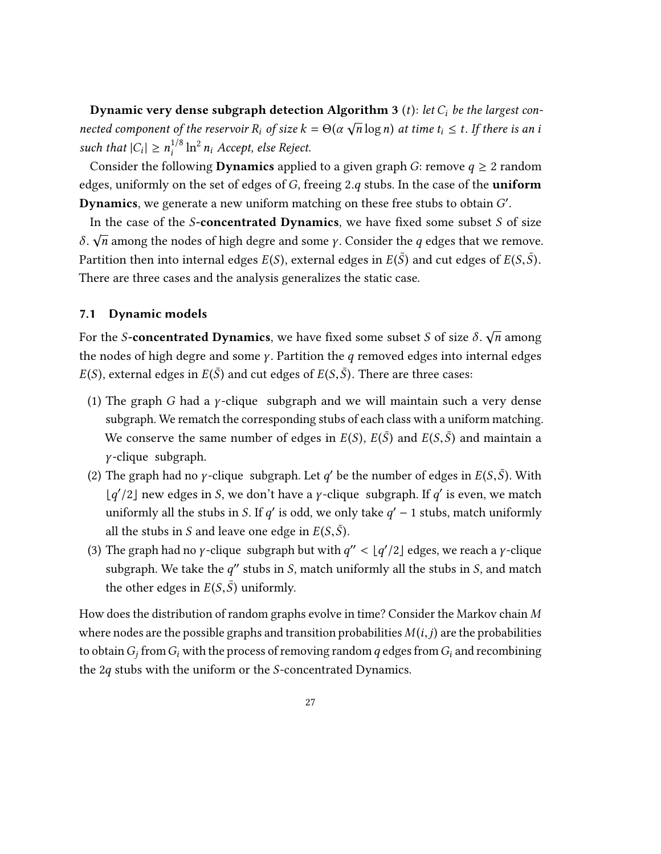**Dynamic very dense subgraph detection Algorithm 3** (t): let  $C_i$  be the largest con- $E$  y hanner very dense stagglight detection in governm 5 (*t*), the e<sub>l</sub> be the targest con-<br>nected component of the reservoir R<sub>i</sub> of size  $k = \Theta(\alpha \sqrt{n} \log n)$  at time  $t_i \le t$ . If there is an i such that  $|C_i| \ge n_i^{1/8} \ln^2 n_i$  Accept, else Reject.

Consider the following **Dynamics** applied to a given graph *G*: remove  $q \ge 2$  random edges, uniformly on the set of edges of  $G$ , freeing 2.q stubs. In the case of the **uniform Dynamics**, we generate a new uniform matching on these free stubs to obtain  $G'$ .

In the case of the  $S$ -concentrated Dynamics, we have fixed some subset  $S$  of size Partition then into internal edges  $E(S)$ , external edges in  $E(\bar{S})$  and cut edges of  $E(S,\bar{S})$ .  $\sqrt{n}$  among the nodes of high degre and some *γ*. Consider the *q* edges that we remove. There are three cases and the analysis generalizes the static case.

## <span id="page-26-0"></span>7.1 Dynamic models

For the S-**concentrated Dynamics**, we have fixed some subset S of size  $\delta$ .  $\sqrt{n}$  among the nodes of high degre and some  $\gamma$ . Partition the q removed edges into internal edges  $E(S)$ , external edges in  $E(\bar{S})$  and cut edges of  $E(S,\bar{S})$ . There are three cases:

- (1) The graph G had a  $\gamma$ -clique subgraph and we will maintain such a very dense subgraph. We rematch the corresponding stubs of each class with a uniform matching. We conserve the same number of edges in  $E(S)$ ,  $E(\bar{S})$  and  $E(S,\bar{S})$  and maintain a γ -clique subgraph.
- (2) The graph had no *γ*-clique subgraph. Let *q'* be the number of edges in  $E(S, \bar{S})$ . With  $\lfloor q'/2 \rfloor$  new edges in S, we don't have a *γ*-clique subgraph. If *q'* is even, we match uniformly all the stubs in S. If q' is odd, we only take  $q' - 1$  stubs, match uniformly all the stubs in S and leave one edge in  $E(S,\bar{S})$ .
- (3) The graph had no *γ*-clique subgraph but with  $q'' < \lfloor q'/2 \rfloor$  edges, we reach a *γ*-clique subgraph. We take the  $q''$  stubs in S, match uniformly all the stubs in S, and match the other edges in  $E(S,\bar{S})$  uniformly.

How does the distribution of random graphs evolve in time? Consider the Markov chain  $M$ where nodes are the possible graphs and transition probabilities  $M(i, j)$  are the probabilities to obtain  $G_i$  from  $G_i$  with the process of removing random q edges from  $G_i$  and recombining the 2q stubs with the uniform or the S-concentrated Dynamics.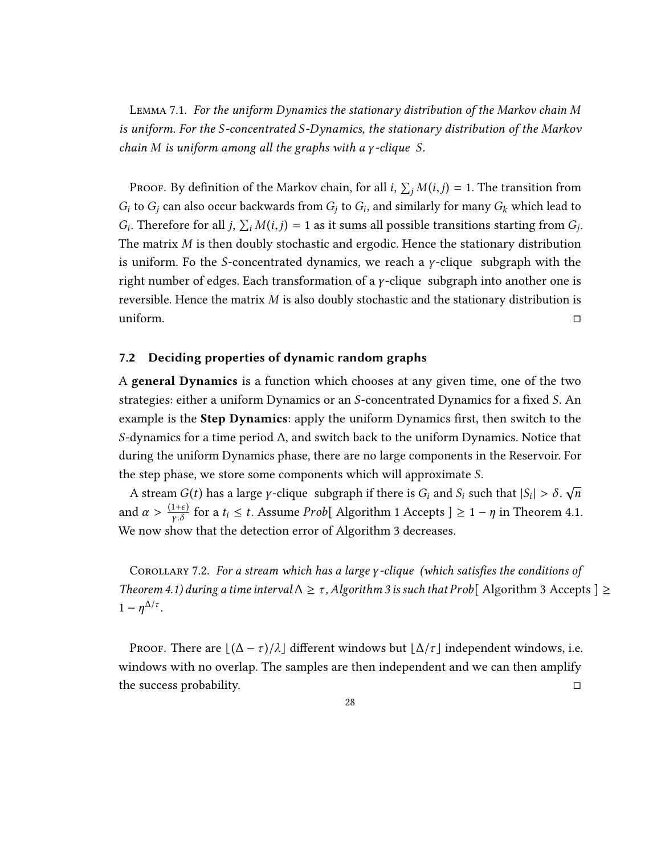Lemma 7.1. For the uniform Dynamics the stationary distribution of the Markov chain M is uniform. For the S-concentrated S-Dynamics, the stationary distribution of the Markov chain M is uniform among all the graphs with a γ -clique S.

PROOF. By definition of the Markov chain, for all  $i$ ,  $\sum_j M(i,j) = 1$ . The transition from  $G_i$  to  $G_j$  can also occur backwards from  $G_j$  to  $G_i$ , and similarly for many  $G_k$  which lead to  $G$ The matrix *M* is then doubly stochastic and ergodic. Hence the stationary distribution Therefore for all  $j$ ,  $\sum_i M(i,j) = 1$  as it sums all possible transitions starting from  $G_j$ . is uniform. Fo the S-concentrated dynamics, we reach a  $\gamma$ -clique subgraph with the right number of edges. Each transformation of a  $\gamma$ -clique subgraph into another one is reversible. Hence the matrix  $M$  is also doubly stochastic and the stationary distribution is<br>uniform. uniform.  $\Box$ 

#### <span id="page-27-0"></span>7.2 Deciding properties of dynamic random graphs

A general Dynamics is a function which chooses at any given time, one of the two strategies: either a uniform Dynamics or an S-concentrated Dynamics for a fixed S. An example is the **Step Dynamics**: apply the uniform Dynamics first, then switch to the S-dynamics for a time period ∆, and switch back to the uniform Dynamics. Notice that during the uniform Dynamics phase, there are no large components in the Reservoir. For the step phase, we store some components which will approximate S. √

A stream  $G(t)$  has a large *γ*-clique subgraph if there is  $G_i$  and  $S_i$  such that  $|S_i| > \delta$ . and  $\alpha > \frac{(1+\epsilon)}{\gamma \cdot \delta}$  for a  $t_i \leq t$ . Assume *Prob*[ Algorithm 1 Accepts ]  $\geq 1 - \eta$  in Theorem [4.1.](#page-12-1) We now show that the detection error of Algorithm 3 decreases.

<span id="page-27-1"></span>COROLLARY 7.2. For a stream which has a large  $\gamma$ -clique (which satisfies the conditions of Theorem [4.1\)](#page-12-1) during a time interval  $\Delta \geq \tau$ , Algorithm 3 is such that Prob[ Algorithm 3 Accepts ]  $\geq$  $1-\eta^{\Delta/\tau}$ .

Proof. There are  $\lfloor(\Delta - \tau)/\lambda\rfloor$  different windows but  $\lfloor \Delta / \tau \rfloor$  independent windows, i.e. windows with no overlap. The samples are then independent and we can then amplify the success probability. □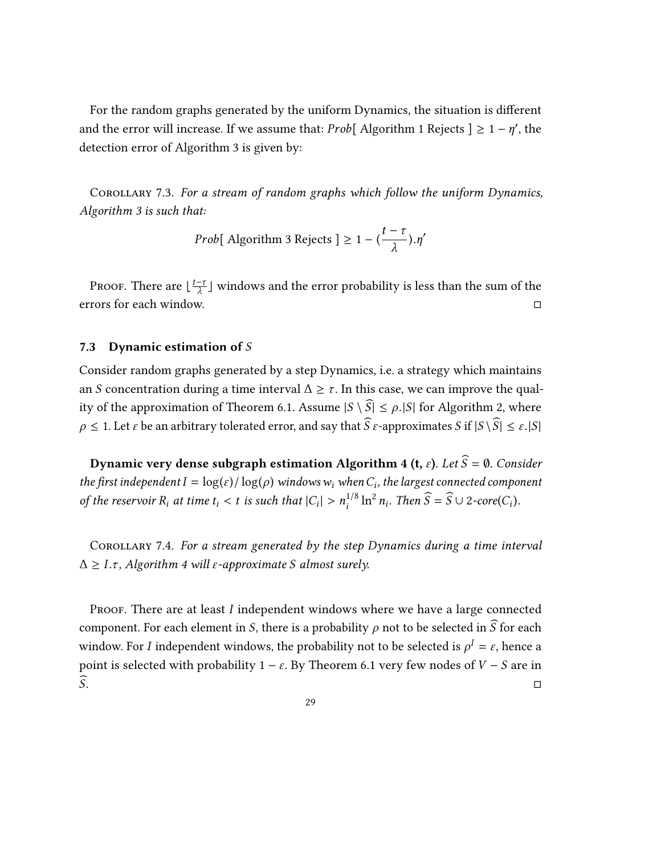For the random graphs generated by the uniform Dynamics, the situation is different and the error will increase. If we assume that: *Prob*[ Algorithm 1 Rejects ]  $\geq 1 - \eta'$ , the detection error of Algorithm 3 is given by:

<span id="page-28-1"></span>Corollary 7.3. For a stream of random graphs which follow the uniform Dynamics, Algorithm 3 is such that:

*Prob*[ Algorithm 3 Rejects ] 
$$
\geq 1 - (\frac{t - \tau}{\lambda}) \cdot \eta'
$$

Proof. There are  $\lfloor \frac{t-\tau}{\lambda} \rfloor$  windows and the error probability is less than the sum of the errors for each window. □

#### <span id="page-28-0"></span>7.3 Dynamic estimation of  $S$

Consider random graphs generated by a step Dynamics, i.e. a strategy which maintains an S concentration during a time interval  $\Delta \geq \tau$ . In this case, we can improve the qual-ity of the approximation of Theorem [6.1.](#page-22-2) Assume  $|S \setminus \widehat{S}| \le \rho$ . |S| for Algorithm 2, where  $\rho \leq 1$ . Let  $\varepsilon$  be an arbitrary tolerated error, and say that  $\widehat{S}\varepsilon$ -approximates S if  $|S \setminus \widehat{S}| \leq \varepsilon$ .  $|S|$ 

Dynamic very dense subgraph estimation Algorithm 4 (t,  $\varepsilon$ ). Let  $\widehat{S} = \emptyset$ . Consider the first independent  $I = \log(\varepsilon) / \log(\rho)$  windows  $w_i$  when  $C_i$ , the largest connected component of the reservoir  $R_i$  at time  $t_i < t$  is such that  $|C_i| > n_i^{1/8} \ln^2$  $n_i$ . Then  $\widehat{S} = \widehat{S} \cup 2\text{-core}(C_i)$ .

<span id="page-28-2"></span>Corollary 7.4. For a stream generated by the step Dynamics during a time interval  $\Delta \geq I.\tau$ , Algorithm 4 will  $\varepsilon$ -approximate S almost surely.

PROOF. There are at least  $I$  independent windows where we have a large connected component. For each element in S, there is a probability  $\rho$  not to be selected in  $\widehat{S}$  for each window. For *I* independent windows, the probability not to be selected is  $\rho^I = \varepsilon$ , hence a point is selected with probability 1 − ε. By Theorem [6.1](#page-22-2) very few nodes of  $V - S$  are in  $\widehat{S}$ .  $\widehat{\mathcal{S}}$ .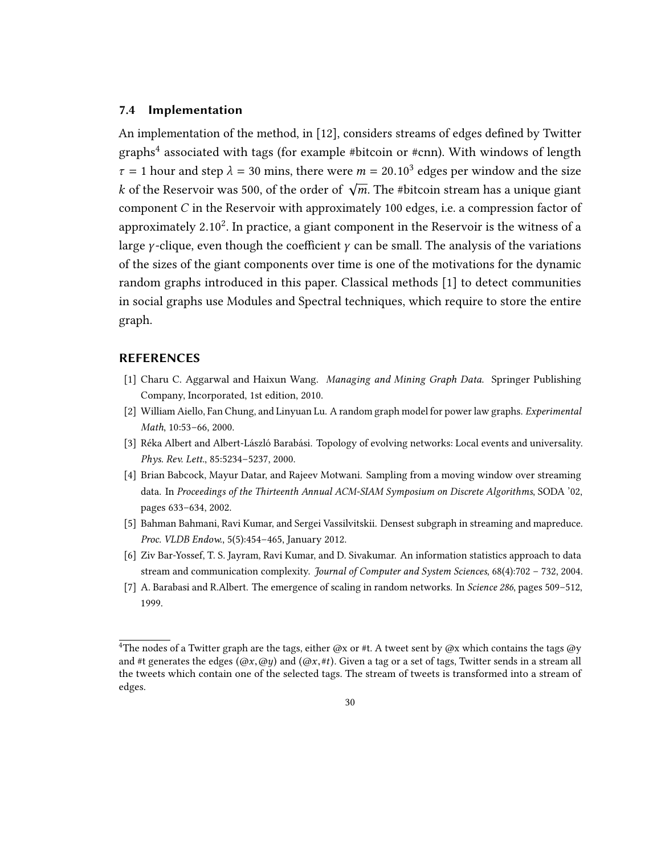#### <span id="page-29-0"></span>7.4 Implementation

An implementation of the method, in [\[12\]](#page-30-14), considers streams of edges defined by Twitter graphs[4](#page-29-9) associated with tags (for example #bitcoin or #cnn). With windows of length  $\tau = 1$  hour and step  $\lambda = 30$  mins, there were  $m = 20.10^3$  edges per window and the size k of the Reservoir was 500, of the order of  $\sqrt{m}$ . The #bitcoin stream has a unique giant component C in the Reservoir with approximately 100 edges, i.e. a compression factor of approximately 2.10<sup>2</sup>. In practice, a giant component in the Reservoir is the witness of a large *γ*-clique, even though the coefficient  $\gamma$  can be small. The analysis of the variations of the sizes of the giant components over time is one of the motivations for the dynamic random graphs introduced in this paper. Classical methods [\[1\]](#page-29-7) to detect communities in social graphs use Modules and Spectral techniques, which require to store the entire graph.

#### REFERENCES

- <span id="page-29-7"></span><span id="page-29-1"></span>[1] Charu C. Aggarwal and Haixun Wang. Managing and Mining Graph Data. Springer Publishing Company, Incorporated, 1st edition, 2010.
- <span id="page-29-4"></span>[2] William Aiello, Fan Chung, and Linyuan Lu. A random graph model for power law graphs. Experimental Math, 10:53–66, 2000.
- <span id="page-29-5"></span>[3] Réka Albert and Albert-László Barabási. Topology of evolving networks: Local events and universality. Phys. Rev. Lett., 85:5234–5237, 2000.
- <span id="page-29-6"></span>[4] Brian Babcock, Mayur Datar, and Rajeev Motwani. Sampling from a moving window over streaming data. In Proceedings of the Thirteenth Annual ACM-SIAM Symposium on Discrete Algorithms, SODA '02, pages 633–634, 2002.
- <span id="page-29-2"></span>[5] Bahman Bahmani, Ravi Kumar, and Sergei Vassilvitskii. Densest subgraph in streaming and mapreduce. Proc. VLDB Endow., 5(5):454–465, January 2012.
- <span id="page-29-8"></span>[6] Ziv Bar-Yossef, T. S. Jayram, Ravi Kumar, and D. Sivakumar. An information statistics approach to data stream and communication complexity. Journal of Computer and System Sciences, 68(4):702 – 732, 2004.
- <span id="page-29-3"></span>[7] A. Barabasi and R.Albert. The emergence of scaling in random networks. In Science 286, pages 509-512, 1999.

<span id="page-29-9"></span><sup>&</sup>lt;sup>4</sup>The nodes of a Twitter graph are the tags, either @x or #t. A tweet sent by @x which contains the tags @y and #t generates the edges  $(\omega x, \omega y)$  and  $(\omega x, \#t)$ . Given a tag or a set of tags, Twitter sends in a stream all the tweets which contain one of the selected tags. The stream of tweets is transformed into a stream of edges.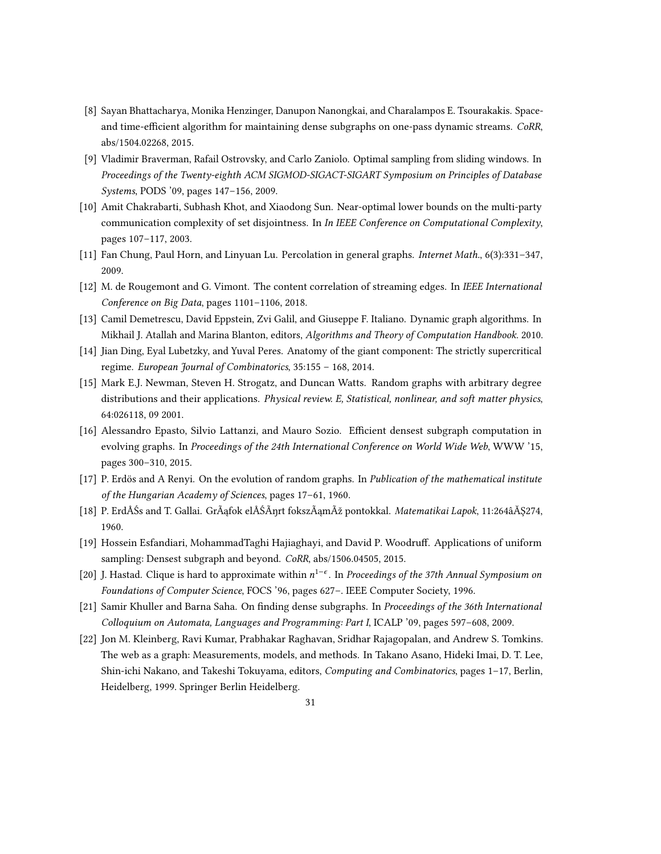- <span id="page-30-0"></span>[8] Sayan Bhattacharya, Monika Henzinger, Danupon Nanongkai, and Charalampos E. Tsourakakis. Spaceand time-efficient algorithm for maintaining dense subgraphs on one-pass dynamic streams. CoRR, abs/1504.02268, 2015.
- <span id="page-30-6"></span>[9] Vladimir Braverman, Rafail Ostrovsky, and Carlo Zaniolo. Optimal sampling from sliding windows. In Proceedings of the Twenty-eighth ACM SIGMOD-SIGACT-SIGART Symposium on Principles of Database Systems, PODS '09, pages 147–156, 2009.
- <span id="page-30-8"></span>[10] Amit Chakrabarti, Subhash Khot, and Xiaodong Sun. Near-optimal lower bounds on the multi-party communication complexity of set disjointness. In In IEEE Conference on Computational Complexity, pages 107–117, 2003.
- <span id="page-30-12"></span>[11] Fan Chung, Paul Horn, and Linyuan Lu. Percolation in general graphs. Internet Math., 6(3):331–347, 2009.
- <span id="page-30-14"></span>[12] M. de Rougemont and G. Vimont. The content correlation of streaming edges. In IEEE International Conference on Big Data, pages 1101–1106, 2018.
- <span id="page-30-9"></span>[13] Camil Demetrescu, David Eppstein, Zvi Galil, and Giuseppe F. Italiano. Dynamic graph algorithms. In Mikhail J. Atallah and Marina Blanton, editors, Algorithms and Theory of Computation Handbook. 2010.
- <span id="page-30-11"></span>[14] Jian Ding, Eyal Lubetzky, and Yuval Peres. Anatomy of the giant component: The strictly supercritical regime. European Journal of Combinatorics, 35:155 – 168, 2014.
- <span id="page-30-4"></span>[15] Mark E.J. Newman, Steven H. Strogatz, and Duncan Watts. Random graphs with arbitrary degree distributions and their applications. Physical review. E, Statistical, nonlinear, and soft matter physics, 64:026118, 09 2001.
- <span id="page-30-1"></span>[16] Alessandro Epasto, Silvio Lattanzi, and Mauro Sozio. Efficient densest subgraph computation in evolving graphs. In Proceedings of the 24th International Conference on World Wide Web, WWW '15, pages 300–310, 2015.
- <span id="page-30-10"></span>[17] P. Erdös and A Renyi. On the evolution of random graphs. In Publication of the mathematical institute of the Hungarian Academy of Sciences, pages 17–61, 1960.
- <span id="page-30-13"></span>[18] P. ErdÅŚs and T. Gallai. GrÃąfok elÅŚÃŋrt fokszÃamÞ pontokkal. Matematikai Lapok, 11:264âĂŞ274, 1960.
- <span id="page-30-2"></span>[19] Hossein Esfandiari, MohammadTaghi Hajiaghayi, and David P. Woodruff. Applications of uniform sampling: Densest subgraph and beyond. CoRR, abs/1506.04505, 2015.
- <span id="page-30-3"></span>[20] J. Hastad. Clique is hard to approximate within  $n^{1-\epsilon}$ . In Proceedings of the 37th Annual Symposium on Foundations of Computer Science, FOCS '96, pages 627–. IEEE Computer Society, 1996.
- <span id="page-30-7"></span>[21] Samir Khuller and Barna Saha. On finding dense subgraphs. In Proceedings of the 36th International Colloquium on Automata, Languages and Programming: Part I, ICALP '09, pages 597–608, 2009.
- <span id="page-30-5"></span>[22] Jon M. Kleinberg, Ravi Kumar, Prabhakar Raghavan, Sridhar Rajagopalan, and Andrew S. Tomkins. The web as a graph: Measurements, models, and methods. In Takano Asano, Hideki Imai, D. T. Lee, Shin-ichi Nakano, and Takeshi Tokuyama, editors, Computing and Combinatorics, pages 1-17, Berlin, Heidelberg, 1999. Springer Berlin Heidelberg.